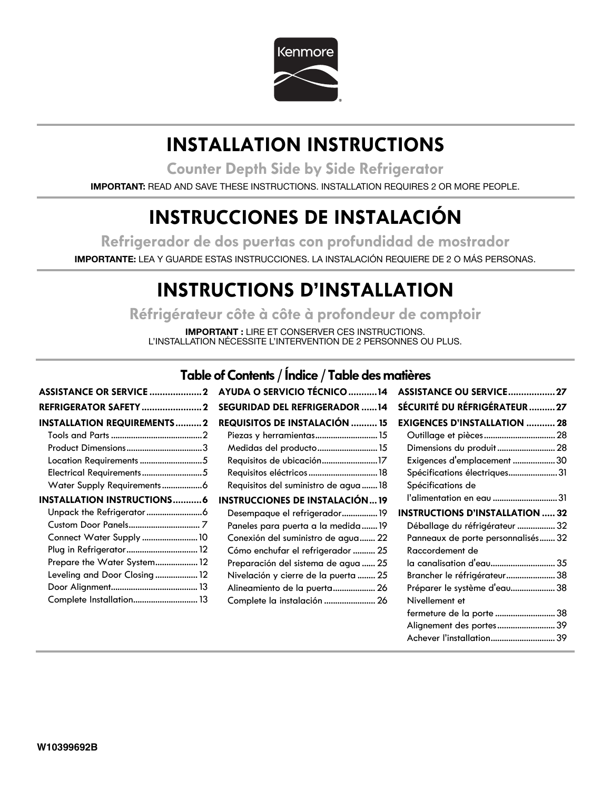

## **INSTALLATION INSTRUCTIONS**

**Counter Depth Side by Side Refrigerator**

**IMPORTANT:** READ AND SAVE THESE INSTRUCTIONS. INSTALLATION REQUIRES 2 OR MORE PEOPLE.

## **INSTRUCCIONES DE INSTALACIÓN**

**Refrigerador de dos puertas con profundidad de mostrador**

**IMPORTANTE:** LEA Y GUARDE ESTAS INSTRUCCIONES. LA INSTALACIÓN REQUIERE DE 2 O MÁS PERSONAS.

## **INSTRUCTIONS D'INSTALLATION**

**Réfrigérateur côte à côte à profondeur de comptoir**

**IMPORTANT :** LIRE ET CONSERVER CES INSTRUCTIONS. L'INSTALLATION NÉCESSITE L'INTERVENTION DE 2 PERSONNES OU PLUS.

## **Table of Contents / Índice / Table des matières**

|                                   | ASSISTANCE OR SERVICE  2 AYUDA O SERVICIO TÉCNICO 14 | ASSISTANCE OU SERVICE 27               |
|-----------------------------------|------------------------------------------------------|----------------------------------------|
|                                   | <b>SEGURIDAD DEL REFRIGERADOR 14</b>                 | SÉCURITÉ DU RÉFRIGÉRATEUR  27          |
| <b>INSTALLATION REQUIREMENTS2</b> | <b>REQUISITOS DE INSTALACIÓN  15</b>                 | <b>EXIGENCES D'INSTALLATION  28</b>    |
|                                   |                                                      |                                        |
|                                   | Medidas del producto 15                              | Dimensions du produit 28               |
| Location Requirements 5           | Requisitos de ubicación17                            | Exigences d'emplacement 30             |
|                                   | Requisitos eléctricos  18                            | Spécifications électriques31           |
|                                   | Requisitos del suministro de agua  18                | Spécifications de                      |
| <b>INSTALLATION INSTRUCTIONS6</b> | <b>INSTRUCCIONES DE INSTALACIÓN19</b>                | l'alimentation en eau 31               |
|                                   | Desempaque el refrigerador19                         | <b>INSTRUCTIONS D'INSTALLATION  32</b> |
|                                   | Paneles para puerta a la medida19                    | Déballage du réfrigérateur  32         |
| Connect Water Supply  10          | Conexión del suministro de agua 22                   | Panneaux de porte personnalisés 32     |
|                                   | Cómo enchufar el refrigerador  25                    | Raccordement de                        |
| Prepare the Water System 12       | Preparación del sistema de agua  25                  | la canalisation d'eau 35               |
| Leveling and Door Closing 12      | Nivelación y cierre de la puerta  25                 | Brancher le réfrigérateur 38           |
|                                   | Alineamiento de la puerta 26                         | Préparer le système d'eau 38           |
| Complete Installation 13          | Complete la instalación  26                          | Nivellement et                         |
|                                   |                                                      | fermeture de la porte  38              |
|                                   |                                                      |                                        |

Achever l'installation.............................39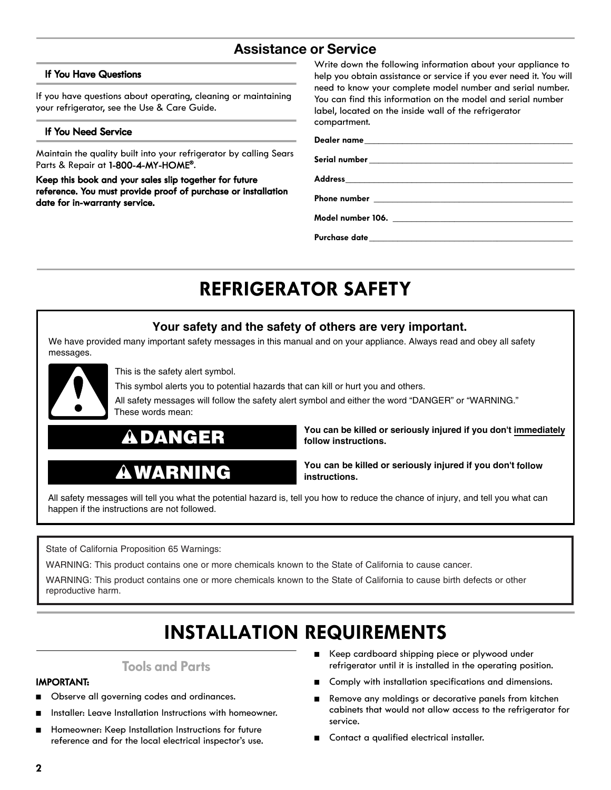## **Assistance or Service**

#### **If You Have Questions**

If you have questions about operating, cleaning or maintaining your refrigerator, see the Use & Care Guide.

#### **If You Need Service**

Maintain the quality built into your refrigerator by calling Sears Parts & Repair at **1-800-4-MY-HOME®**.

**Keep this book and your sales slip together for future reference. You must provide proof of purchase or installation date for in-warranty service.**

Write down the following information about your appliance to help you obtain assistance or service if you ever need it. You will need to know your complete model number and serial number. You can find this information on the model and serial number label, located on the inside wall of the refrigerator compartment.

#### **Dealer name\_\_\_\_\_\_\_\_\_\_\_\_\_\_\_\_\_\_\_\_\_\_\_\_\_\_\_\_\_\_\_\_\_\_\_\_\_\_\_\_\_\_\_\_**

**Serial number \_\_\_\_\_\_\_\_\_\_\_\_\_\_\_\_\_\_\_\_\_\_\_\_\_\_\_\_\_\_\_\_\_\_\_\_\_\_\_\_\_\_\_**

**Address\_\_\_\_\_\_\_\_\_\_\_\_\_\_\_\_\_\_\_\_\_\_\_\_\_\_\_\_\_\_\_\_\_\_\_\_\_\_\_\_\_\_\_\_\_\_\_\_**

Phone number

**Model number 106. \_\_\_\_\_\_\_\_\_\_\_\_\_\_\_\_\_\_\_\_\_\_\_\_\_\_\_\_\_\_\_\_\_\_\_\_\_\_**

**Purchase date\_\_\_\_\_\_\_\_\_\_\_\_\_\_\_\_\_\_\_\_\_\_\_\_\_\_\_\_\_\_\_\_\_\_\_\_\_\_\_\_\_\_\_**

## **REFRIGERATOR SAFETY**

### **Your safety and the safety of others are very important.**

We have provided many important safety messages in this manual and on your appliance. Always read and obey all safety messages.



This is the safety alert symbol.

This symbol alerts you to potential hazards that can kill or hurt you and others.

All safety messages will follow the safety alert symbol and either the word "DANGER" or "WARNING." These words mean:



#### **You can be killed or seriously injured if you don't immediately follow instructions.**

## **WARNING**

**You can be killed or seriously injured if you don't follow instructions.**

All safety messages will tell you what the potential hazard is, tell you how to reduce the chance of injury, and tell you what can happen if the instructions are not followed.

State of California Proposition 65 Warnings:

WARNING: This product contains one or more chemicals known to the State of California to cause cancer.

WARNING: This product contains one or more chemicals known to the State of California to cause birth defects or other reproductive harm.

## **INSTALLATION REQUIREMENTS**

### **Tools and Parts**

#### **IMPORTANT:**

- Observe all governing codes and ordinances.
- Installer: Leave Installation Instructions with homeowner.
- Homeowner: Keep Installation Instructions for future reference and for the local electrical inspector's use.
- Keep cardboard shipping piece or plywood under refrigerator until it is installed in the operating position.
- Comply with installation specifications and dimensions.
- Remove any moldings or decorative panels from kitchen cabinets that would not allow access to the refrigerator for service.
- Contact a qualified electrical installer.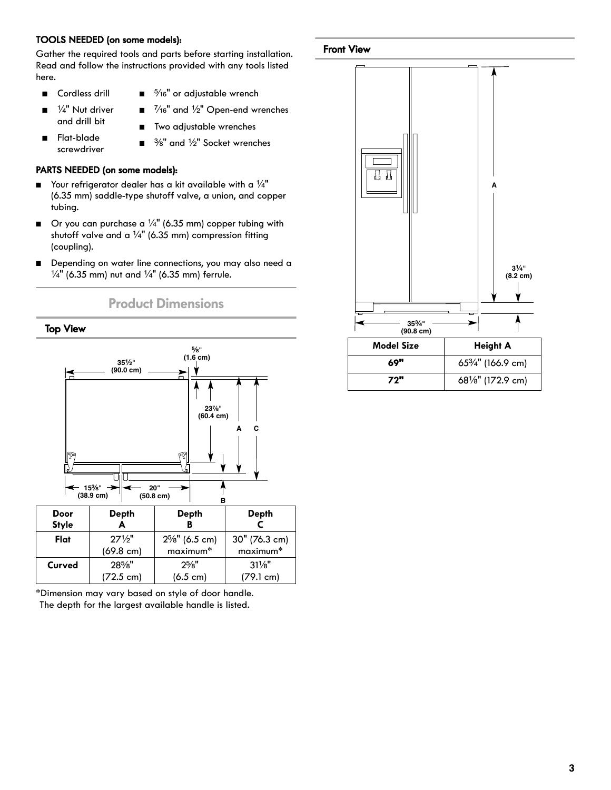#### **TOOLS NEEDED (on some models):**

Gather the required tools and parts before starting installation. Read and follow the instructions provided with any tools listed here.

- Cordless drill
- 5/16" or adjustable wrench
- $\blacksquare$   $\frac{1}{4}$ " Nut driver and drill bit
- $\frac{7}{16}$ " and  $\frac{1}{2}$ " Open-end wrenches
- Flat-blade screwdriver
- Two adjustable wrenches
- $\blacksquare$   $\frac{3}{8}$ " and  $\frac{1}{2}$ " Socket wrenches

#### **PARTS NEEDED (on some models):**

- $\blacksquare$  Your refrigerator dealer has a kit available with a  $\frac{1}{4}$ " (6.35 mm) saddle-type shutoff valve, a union, and copper tubing.
- $\blacksquare$  Or you can purchase a 1/4" (6.35 mm) copper tubing with shutoff valve and a  $\frac{1}{4}$ " (6.35 mm) compression fitting (coupling).
- Depending on water line connections, you may also need a  $\frac{1}{4}$ " (6.35 mm) nut and  $\frac{1}{4}$ " (6.35 mm) ferrule.





\*Dimension may vary based on style of door handle. The depth for the largest available handle is listed.

#### **Front View**



| <b>Model Size</b> | <b>Height A</b>                             |
|-------------------|---------------------------------------------|
| 69"               | 65 <sup>3</sup> / <sub>4</sub> " (166.9 cm) |
| 72"               | 68 <sup>1</sup> / <sub>8</sub> " (172.9 cm) |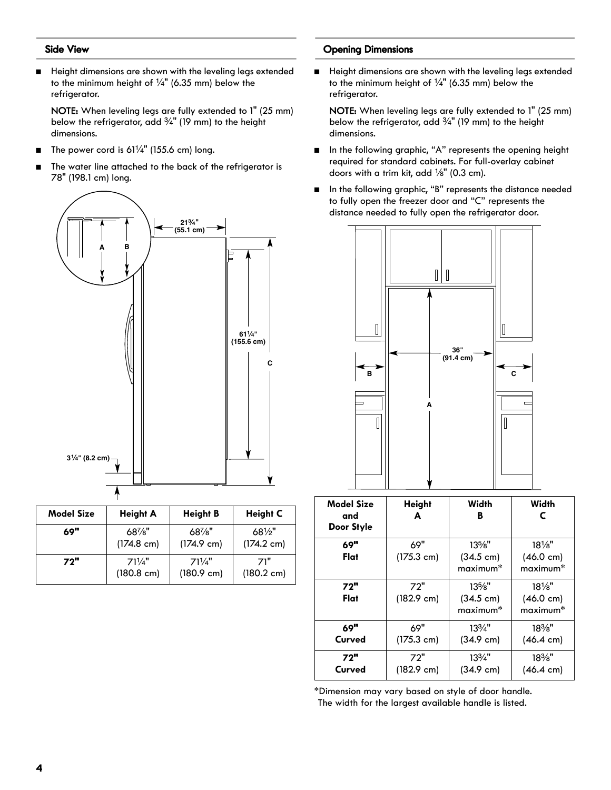#### **Side View**

■ Height dimensions are shown with the leveling legs extended to the minimum height of  $\frac{1}{4}$ " (6.35 mm) below the refrigerator.

NOTE: When leveling legs are fully extended to 1" (25 mm) below the refrigerator, add  $\frac{3}{4}$ " (19 mm) to the height dimensions.

- The power cord is  $61\frac{1}{4}$ " (155.6 cm) long.
- The water line attached to the back of the refrigerator is 78" (198.1 cm) long.



| <b>Model Size</b> | <b>Height A</b>      | <b>Height B</b>      | <b>Height C</b>      |
|-------------------|----------------------|----------------------|----------------------|
| 69"               | $68\%$ "             | $68\%$ "             | $68\frac{1}{2}$      |
|                   | $(174.8 \text{ cm})$ | $(174.9 \text{ cm})$ | $(174.2 \text{ cm})$ |
| 72"               | $71\frac{1}{4}$      | $71\frac{1}{4}$      | 71"                  |
|                   | $(180.8 \text{ cm})$ | $(180.9 \text{ cm})$ | $(180.2 \text{ cm})$ |

#### **Opening Dimensions**

■ Height dimensions are shown with the leveling legs extended to the minimum height of  $\frac{1}{4}$ " (6.35 mm) below the refrigerator.

NOTE: When leveling legs are fully extended to 1" (25 mm) below the refrigerator, add  $\frac{3}{4}$ " (19 mm) to the height dimensions.

- In the following graphic, "A" represents the opening height required for standard cabinets. For full-overlay cabinet doors with a trim kit, add  $\frac{1}{8}$ " (0.3 cm).
- In the following graphic, "B" represents the distance needed to fully open the freezer door and "C" represents the distance needed to fully open the refrigerator door.



| <b>Model Size</b><br>and<br>Door Style | <b>Height</b><br>A          | Width<br>в                                  | Width<br>C                                                     |
|----------------------------------------|-----------------------------|---------------------------------------------|----------------------------------------------------------------|
| 69"<br>Flat                            | 69"<br>$(175.3 \text{ cm})$ | $13\%$ "<br>$(34.5 \text{ cm})$<br>maximum* | $18\%$ "<br>$(46.0 \text{ cm})$<br>maximum <sup>*</sup>        |
| 72"<br>Flat                            | 72"<br>$(182.9 \text{ cm})$ | $13\%$ "<br>(34.5 cm)<br>$maximum*$         | $18\frac{1}{8}$<br>$(46.0 \text{ cm})$<br>maximum <sup>*</sup> |
| 69"<br>Curved                          | 69"<br>$(175.3 \text{ cm})$ | $13\frac{3}{4}$ "<br>$(34.9 \text{ cm})$    | $18\%$ "<br>$(46.4 \text{ cm})$                                |
| 72"<br>Curved                          | 72"<br>$(182.9 \text{ cm})$ | $13\frac{3}{4}$ "<br>$(34.9 \text{ cm})$    | $18\%$ "<br>$(46.4 \text{ cm})$                                |

\*Dimension may vary based on style of door handle. The width for the largest available handle is listed.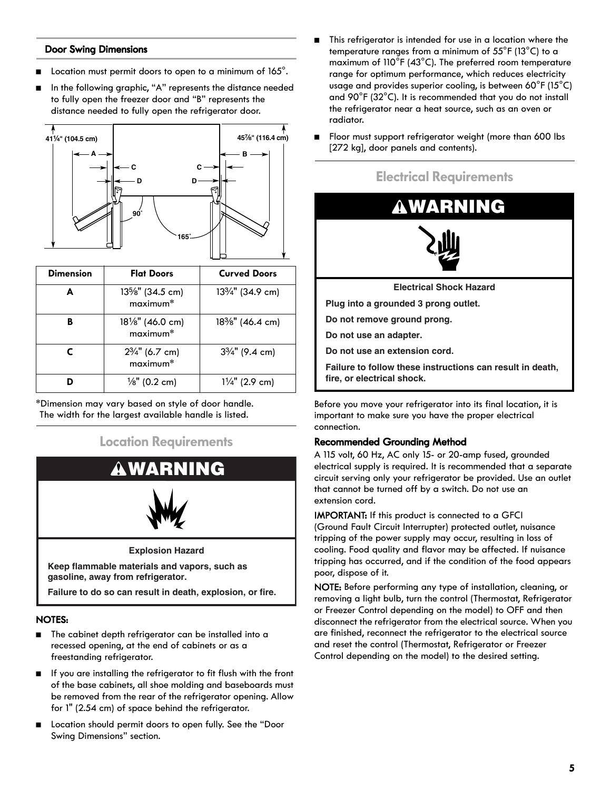#### **Door Swing Dimensions**

- Location must permit doors to open to a minimum of 165°.
- In the following graphic, "A" represents the distance needed to fully open the freezer door and "B" represents the distance needed to fully open the refrigerator door.



| <b>Dimension</b> | <b>Flat Doors</b>                       | <b>Curved Doors</b>                        |
|------------------|-----------------------------------------|--------------------------------------------|
| A                | $13\frac{5}{8}$ " (34.5 cm)<br>maximum* | 13 <sup>3</sup> / <sub>4</sub> " (34.9 cm) |
| в                | $18\frac{1}{8}$ " (46.0 cm)<br>maximum* | $18\%$ " (46.4 cm)                         |
| С                | $2\frac{3}{4}$ " (6.7 cm)<br>maximum*   | $3\frac{3}{4}$ " (9.4 cm)                  |
|                  | $\frac{1}{8}$ " (0.2 cm)                | $1\frac{1}{4}$ " (2.9 cm)                  |

\*Dimension may vary based on style of door handle. The width for the largest available handle is listed.

### **Location Requirements**



**Explosion Hazard**

**Keep flammable materials and vapors, such as gasoline, away from refrigerator.**

**Failure to do so can result in death, explosion, or fire.**

#### **NOTES:**

- The cabinet depth refrigerator can be installed into a recessed opening, at the end of cabinets or as a freestanding refrigerator.
- If you are installing the refrigerator to fit flush with the front of the base cabinets, all shoe molding and baseboards must be removed from the rear of the refrigerator opening. Allow for 1" (2.54 cm) of space behind the refrigerator.
- Location should permit doors to open fully. See the "Door Swing Dimensions" section.
- This refrigerator is intended for use in a location where the temperature ranges from a minimum of  $55^{\circ}$ F (13 $^{\circ}$ C) to a maximum of 110°F (43°C). The preferred room temperature range for optimum performance, which reduces electricity usage and provides superior cooling, is between 60°F (15°C) and 90°F (32°C). It is recommended that you do not install the refrigerator near a heat source, such as an oven or radiator.
- Floor must support refrigerator weight (more than 600 lbs [272 kg], door panels and contents).







**Electrical Shock Hazard**

**Plug into a grounded 3 prong outlet.**

**Do not remove ground prong.**

**Do not use an adapter.**

**Do not use an extension cord.**

**Failure to follow these instructions can result in death, fire, or electrical shock.**

Before you move your refrigerator into its final location, it is important to make sure you have the proper electrical connection.

#### **Recommended Grounding Method**

A 115 volt, 60 Hz, AC only 15- or 20-amp fused, grounded electrical supply is required. It is recommended that a separate circuit serving only your refrigerator be provided. Use an outlet that cannot be turned off by a switch. Do not use an extension cord.

IMPORTANT: If this product is connected to a GFCI (Ground Fault Circuit Interrupter) protected outlet, nuisance tripping of the power supply may occur, resulting in loss of cooling. Food quality and flavor may be affected. If nuisance tripping has occurred, and if the condition of the food appears poor, dispose of it.

NOTE: Before performing any type of installation, cleaning, or removing a light bulb, turn the control (Thermostat, Refrigerator or Freezer Control depending on the model) to OFF and then disconnect the refrigerator from the electrical source. When you are finished, reconnect the refrigerator to the electrical source and reset the control (Thermostat, Refrigerator or Freezer Control depending on the model) to the desired setting.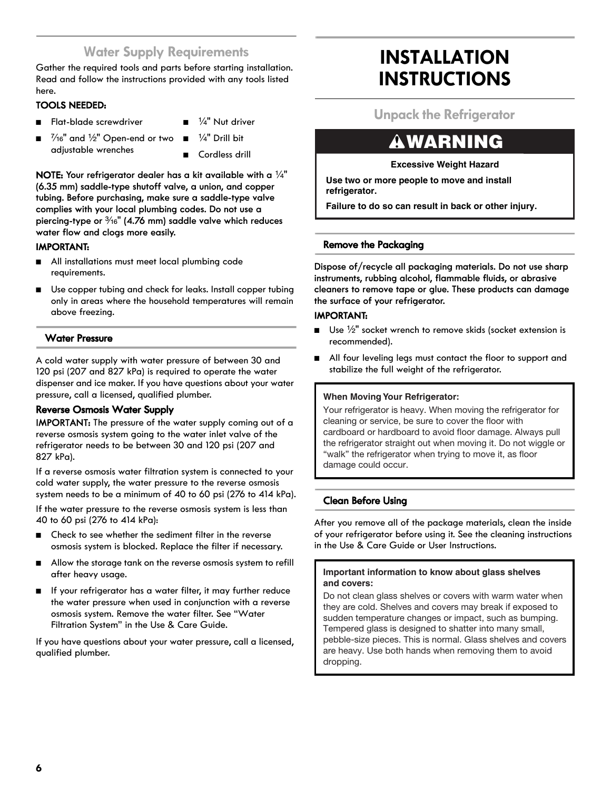## **Water Supply Requirements**

Gather the required tools and parts before starting installation. Read and follow the instructions provided with any tools listed here.

#### **TOOLS NEEDED:**

- Flat-blade screwdriver
- 1/4" Nut driver 1/4" Drill bit
- $\frac{7}{16}$ " and  $\frac{1}{2}$ " Open-end or two adjustable wrenches
	- Cordless drill

**NOTE:** Your refrigerator dealer has a kit available with a  $\frac{1}{4}$ " **(6.35 mm) saddle-type shutoff valve, a union, and copper tubing. Before purchasing, make sure a saddle-type valve complies with your local plumbing codes. Do not use a piercing-type or** ³⁄₁₆**" (4.76 mm) saddle valve which reduces water flow and clogs more easily.**

#### **IMPORTANT:**

- All installations must meet local plumbing code requirements.
- Use copper tubing and check for leaks. Install copper tubing only in areas where the household temperatures will remain above freezing.

#### **Water Pressure**

A cold water supply with water pressure of between 30 and 120 psi (207 and 827 kPa) is required to operate the water dispenser and ice maker. If you have questions about your water pressure, call a licensed, qualified plumber.

#### **Reverse Osmosis Water Supply**

IMPORTANT: The pressure of the water supply coming out of a reverse osmosis system going to the water inlet valve of the refrigerator needs to be between 30 and 120 psi (207 and 827 kPa).

If a reverse osmosis water filtration system is connected to your cold water supply, the water pressure to the reverse osmosis system needs to be a minimum of 40 to 60 psi (276 to 414 kPa).

If the water pressure to the reverse osmosis system is less than 40 to 60 psi (276 to 414 kPa):

- Check to see whether the sediment filter in the reverse osmosis system is blocked. Replace the filter if necessary.
- Allow the storage tank on the reverse osmosis system to refill after heavy usage.
- If your refrigerator has a water filter, it may further reduce the water pressure when used in conjunction with a reverse osmosis system. Remove the water filter. See "Water Filtration System" in the Use & Care Guide.

If you have questions about your water pressure, call a licensed, qualified plumber.

## **INSTALLATION INSTRUCTIONS**

**Unpack the Refrigerator**

## **WARNING**

**Excessive Weight Hazard**

**Use two or more people to move and install refrigerator.**

**Failure to do so can result in back or other injury.**

#### **Remove the Packaging**

**Dispose of/recycle all packaging materials. Do not use sharp instruments, rubbing alcohol, flammable fluids, or abrasive cleaners to remove tape or glue. These products can damage the surface of your refrigerator.**

#### **IMPORTANT:**

- $\Box$  Use  $\frac{1}{2}$ " socket wrench to remove skids (socket extension is recommended).
- All four leveling legs must contact the floor to support and stabilize the full weight of the refrigerator.

#### **When Moving Your Refrigerator:**

Your refrigerator is heavy. When moving the refrigerator for cleaning or service, be sure to cover the floor with cardboard or hardboard to avoid floor damage. Always pull the refrigerator straight out when moving it. Do not wiggle or "walk" the refrigerator when trying to move it, as floor damage could occur.

#### **Clean Before Using**

After you remove all of the package materials, clean the inside of your refrigerator before using it. See the cleaning instructions in the Use & Care Guide or User Instructions.

#### **Important information to know about glass shelves and covers:**

Do not clean glass shelves or covers with warm water when they are cold. Shelves and covers may break if exposed to sudden temperature changes or impact, such as bumping. Tempered glass is designed to shatter into many small, pebble-size pieces. This is normal. Glass shelves and covers are heavy. Use both hands when removing them to avoid dropping.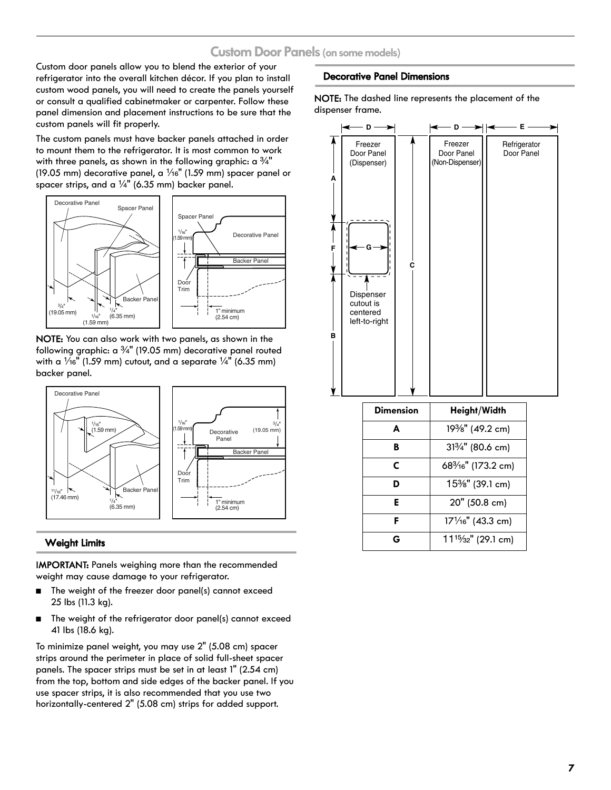### **Custom Door Panels (on some models)**

Custom door panels allow you to blend the exterior of your refrigerator into the overall kitchen décor. If you plan to install custom wood panels, you will need to create the panels yourself or consult a qualified cabinetmaker or carpenter. Follow these panel dimension and placement instructions to be sure that the custom panels will fit properly.

The custom panels must have backer panels attached in order to mount them to the refrigerator. It is most common to work with three panels, as shown in the following graphic: a  $\frac{3}{4}$ " (19.05 mm) decorative panel, a  $\frac{1}{16}$ " (1.59 mm) spacer panel or spacer strips, and a  $\frac{1}{4}$ " (6.35 mm) backer panel.



NOTE: You can also work with two panels, as shown in the following graphic:  $a \frac{3}{4}$ " (19.05 mm) decorative panel routed with a  $\frac{1}{16}$ " (1.59 mm) cutout, and a separate  $\frac{1}{4}$ " (6.35 mm) backer panel.



#### **Weight Limits**

IMPORTANT: Panels weighing more than the recommended weight may cause damage to your refrigerator.

- The weight of the freezer door panel(s) cannot exceed 25 lbs (11.3 kg).
- The weight of the refrigerator door panel(s) cannot exceed 41 lbs (18.6 kg).

To minimize panel weight, you may use 2" (5.08 cm) spacer strips around the perimeter in place of solid full-sheet spacer panels. The spacer strips must be set in at least 1" (2.54 cm) from the top, bottom and side edges of the backer panel. If you use spacer strips, it is also recommended that you use two horizontally-centered 2" (5.08 cm) strips for added support.

#### **Decorative Panel Dimensions**

NOTE: The dashed line represents the placement of the dispenser frame.



| <b>Dimension</b> | Height/Width                                 |
|------------------|----------------------------------------------|
| A                | 19%" (49.2 cm)                               |
| B                | 313/4" (80.6 cm)                             |
| C                | 68 <sup>3</sup> / <sub>16</sub> " (173.2 cm) |
| D                | 15%" (39.1 cm)                               |
| Ε                | 20" (50.8 cm)                                |
| F                | 171/16" (43.3 cm)                            |
| G                | 11 <sup>15</sup> / <sub>32</sub> " (29.1 cm) |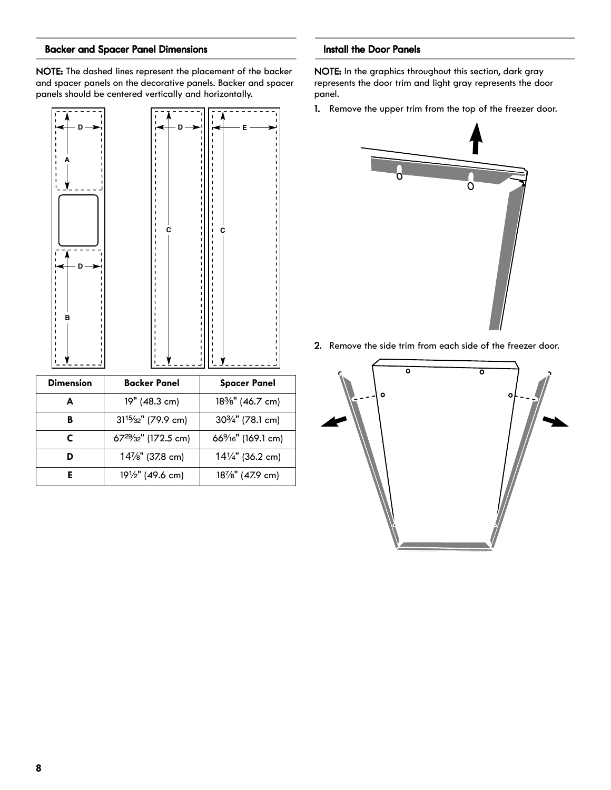#### **Backer and Spacer Panel Dimensions**

NOTE: The dashed lines represent the placement of the backer and spacer panels on the decorative panels. Backer and spacer panels should be centered vertically and horizontally.



| <b>Dimension</b> | <b>Backer Panel</b>                           | <b>Spacer Panel</b>                        |
|------------------|-----------------------------------------------|--------------------------------------------|
| А                | 19" (48.3 cm)                                 | 18%" (46.7 cm)                             |
| B                | $31^{15}/_{32}$ " (79.9 cm)                   | 30 <sup>3</sup> / <sub>4</sub> " (78.1 cm) |
| C                | 67 <sup>29</sup> / <sub>32</sub> " (172.5 cm) | 66%6" (169.1 cm)                           |
|                  | 14%" (37.8 cm)                                | $14\frac{1}{4}$ " (36.2 cm)                |
|                  | 191/2" (49.6 cm)                              | 18%" (47.9 cm)                             |

#### **Install the Door Panels**

NOTE: In the graphics throughout this section, dark gray represents the door trim and light gray represents the door panel.

1. Remove the upper trim from the top of the freezer door.



2. Remove the side trim from each side of the freezer door.

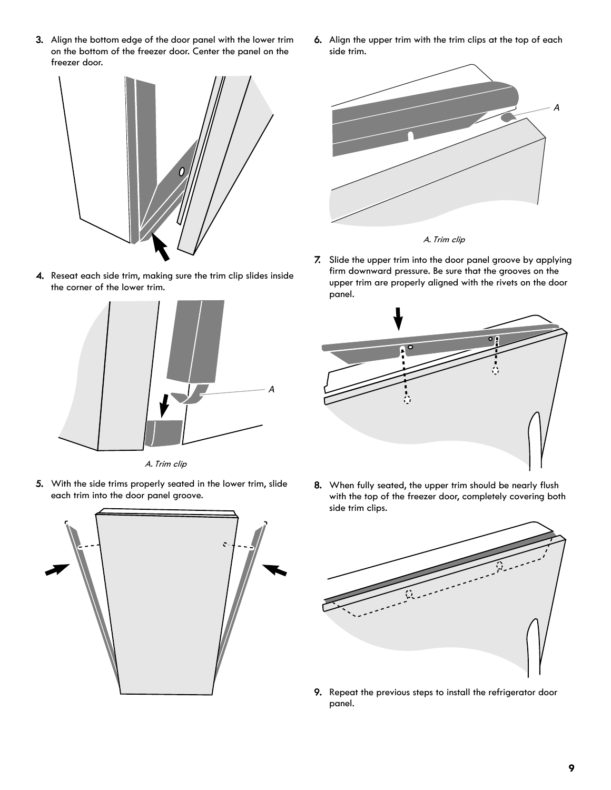3. Align the bottom edge of the door panel with the lower trim on the bottom of the freezer door. Center the panel on the freezer door.



4. Reseat each side trim, making sure the trim clip slides inside the corner of the lower trim.



A. Trim clip

5. With the side trims properly seated in the lower trim, slide each trim into the door panel groove.



6. Align the upper trim with the trim clips at the top of each side trim.



A. Trim clip

7. Slide the upper trim into the door panel groove by applying firm downward pressure. Be sure that the grooves on the upper trim are properly aligned with the rivets on the door panel.

![](_page_8_Figure_11.jpeg)

8. When fully seated, the upper trim should be nearly flush with the top of the freezer door, completely covering both side trim clips.

![](_page_8_Picture_13.jpeg)

9. Repeat the previous steps to install the refrigerator door panel.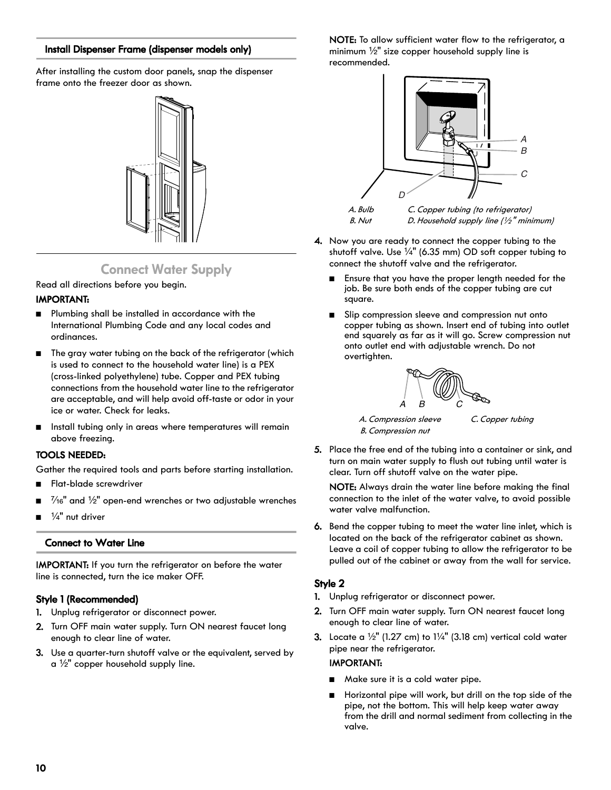#### **Install Dispenser Frame (dispenser models only)**

After installing the custom door panels, snap the dispenser frame onto the freezer door as shown.

![](_page_9_Picture_2.jpeg)

### **Connect Water Supply**

Read all directions before you begin.

#### **IMPORTANT:**

- Plumbing shall be installed in accordance with the International Plumbing Code and any local codes and ordinances.
- The gray water tubing on the back of the refrigerator (which is used to connect to the household water line) is a PEX (crosslinked polyethylene) tube. Copper and PEX tubing connections from the household water line to the refrigerator are acceptable, and will help avoid off-taste or odor in your ice or water. Check for leaks.
- Install tubing only in areas where temperatures will remain above freezing.

#### **TOOLS NEEDED:**

Gather the required tools and parts before starting installation.

- Flat-blade screwdriver
- $\frac{7}{16}$ " and  $\frac{1}{2}$ " open-end wrenches or two adjustable wrenches
- $\frac{1}{4}$ " nut driver

#### **Connect to Water Line**

IMPORTANT: If you turn the refrigerator on before the water line is connected, turn the ice maker OFF.

#### **Style 1 (Recommended)**

- 1. Unplug refrigerator or disconnect power.
- 2. Turn OFF main water supply. Turn ON nearest faucet long enough to clear line of water.
- 3. Use a quarter-turn shutoff valve or the equivalent, served by  $a \frac{1}{2}$ " copper household supply line.

NOTE: To allow sufficient water flow to the refrigerator, a minimum  $\frac{1}{2}$ " size copper household supply line is recommended.

![](_page_9_Figure_21.jpeg)

- 4. Now you are ready to connect the copper tubing to the shutoff valve. Use  $\frac{1}{4}$ " (6.35 mm) OD soft copper tubing to connect the shutoff valve and the refrigerator.
	- Ensure that you have the proper length needed for the job. Be sure both ends of the copper tubing are cut square.
	- Slip compression sleeve and compression nut onto copper tubing as shown. Insert end of tubing into outlet end squarely as far as it will go. Screw compression nut onto outlet end with adjustable wrench. Do not overtighten.

![](_page_9_Picture_25.jpeg)

A. Compression sleeve B. Compression nut

C. Copper tubing

5. Place the free end of the tubing into a container or sink, and turn on main water supply to flush out tubing until water is clear. Turn off shutoff valve on the water pipe.

NOTE: Always drain the water line before making the final connection to the inlet of the water valve, to avoid possible water valve malfunction.

6. Bend the copper tubing to meet the water line inlet, which is located on the back of the refrigerator cabinet as shown. Leave a coil of copper tubing to allow the refrigerator to be pulled out of the cabinet or away from the wall for service.

#### **Style 2**

- 1. Unplug refrigerator or disconnect power.
- 2. Turn OFF main water supply. Turn ON nearest faucet long enough to clear line of water.
- 3. Locate a  $\frac{1}{2}$ " (1.27 cm) to  $1\frac{1}{4}$ " (3.18 cm) vertical cold water pipe near the refrigerator.

#### IMPORTANT:

- Make sure it is a cold water pipe.
- Horizontal pipe will work, but drill on the top side of the pipe, not the bottom. This will help keep water away from the drill and normal sediment from collecting in the valve.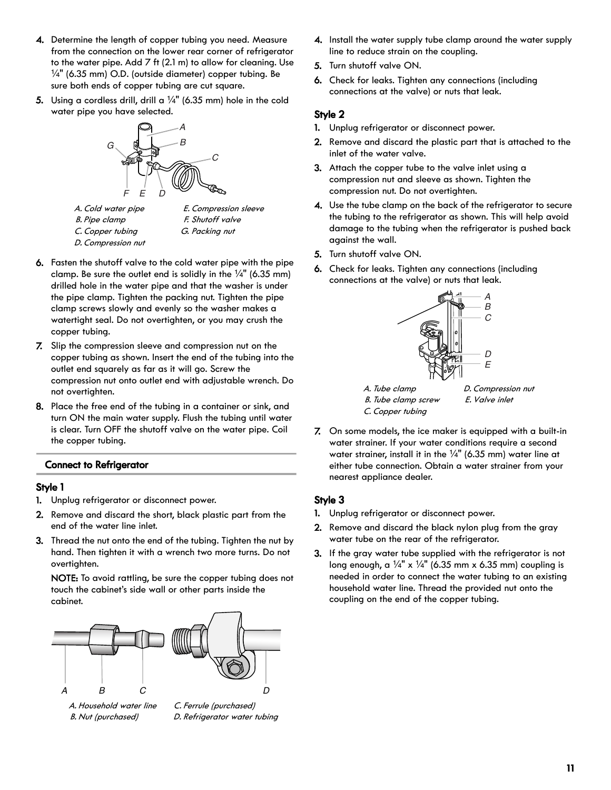- 4. Determine the length of copper tubing you need. Measure from the connection on the lower rear corner of refrigerator to the water pipe. Add 7 ft (2.1 m) to allow for cleaning. Use  $\frac{1}{4}$ " (6.35 mm) O.D. (outside diameter) copper tubing. Be sure both ends of copper tubing are cut square.
- **5.** Using a cordless drill, drill a  $\frac{1}{4}$ " (6.35 mm) hole in the cold water pipe you have selected.

![](_page_10_Picture_2.jpeg)

A. Cold water pipe B. Pipe clamp C. Copper tubing D. Compression nut

E. Compression sleeve F. Shutoff valve G. Packing nut

- 6. Fasten the shutoff valve to the cold water pipe with the pipe clamp. Be sure the outlet end is solidly in the  $\frac{1}{4}$ " (6.35 mm) drilled hole in the water pipe and that the washer is under the pipe clamp. Tighten the packing nut. Tighten the pipe clamp screws slowly and evenly so the washer makes a watertight seal. Do not overtighten, or you may crush the copper tubing.
- 7. Slip the compression sleeve and compression nut on the copper tubing as shown. Insert the end of the tubing into the outlet end squarely as far as it will go. Screw the compression nut onto outlet end with adjustable wrench. Do not overtighten.
- 8. Place the free end of the tubing in a container or sink, and turn ON the main water supply. Flush the tubing until water is clear. Turn OFF the shutoff valve on the water pipe. Coil the copper tubing.

#### **Connect to Refrigerator**

#### **Style 1**

- 1. Unplug refrigerator or disconnect power.
- 2. Remove and discard the short, black plastic part from the end of the water line inlet.
- 3. Thread the nut onto the end of the tubing. Tighten the nut by hand. Then tighten it with a wrench two more turns. Do not overtighten.

NOTE: To avoid rattling, be sure the copper tubing does not touch the cabinet's side wall or other parts inside the cabinet.

![](_page_10_Figure_14.jpeg)

A. Household water line B. Nut (purchased)

C. Ferrule (purchased) D. Refrigerator water tubing

- 4. Install the water supply tube clamp around the water supply line to reduce strain on the coupling.
- 5. Turn shutoff valve ON.
- 6. Check for leaks. Tighten any connections (including connections at the valve) or nuts that leak.

#### **Style 2**

- 1. Unplug refrigerator or disconnect power.
- 2. Remove and discard the plastic part that is attached to the inlet of the water valve.
- 3. Attach the copper tube to the valve inlet using a compression nut and sleeve as shown. Tighten the compression nut. Do not overtighten.
- 4. Use the tube clamp on the back of the refrigerator to secure the tubing to the refrigerator as shown. This will help avoid damage to the tubing when the refrigerator is pushed back against the wall.
- 5. Turn shutoff valve ON.
- 6. Check for leaks. Tighten any connections (including connections at the valve) or nuts that leak.

![](_page_10_Figure_27.jpeg)

7. On some models, the ice maker is equipped with a built-in water strainer. If your water conditions require a second water strainer, install it in the  $\frac{1}{4}$ " (6.35 mm) water line at either tube connection. Obtain a water strainer from your nearest appliance dealer.

#### **Style 3**

- 1. Unplug refrigerator or disconnect power.
- 2. Remove and discard the black nylon plug from the gray water tube on the rear of the refrigerator.
- 3. If the gray water tube supplied with the refrigerator is not long enough, a  $\frac{1}{4}$ " x  $\frac{1}{4}$ " (6.35 mm x 6.35 mm) coupling is needed in order to connect the water tubing to an existing household water line. Thread the provided nut onto the coupling on the end of the copper tubing.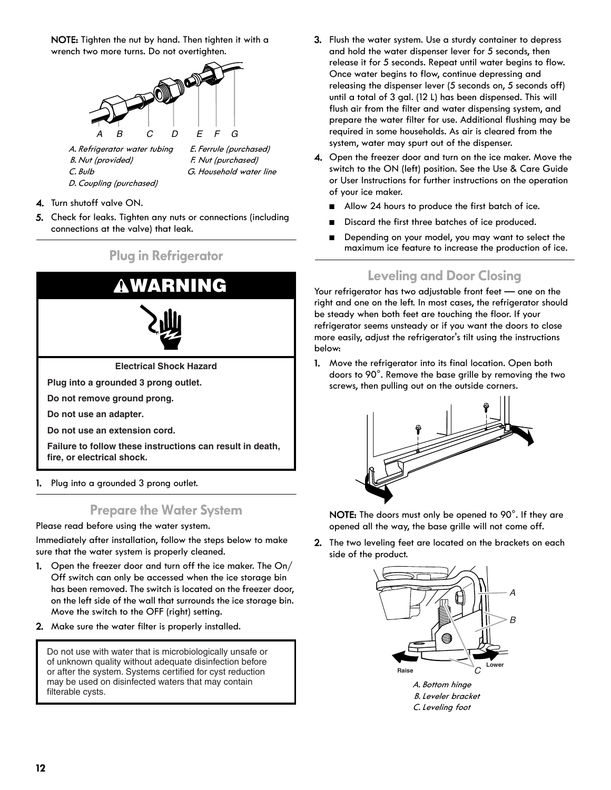NOTE: Tighten the nut by hand. Then tighten it with a wrench two more turns. Do not overtighten.

![](_page_11_Figure_1.jpeg)

C. Bulb

- F. Nut (purchased) G. Household water line
- 4. Turn shutoff valve ON.

D. Coupling (purchased)

5. Check for leaks. Tighten any nuts or connections (including connections at the valve) that leak.

## **Plug in Refrigerator**

![](_page_11_Figure_7.jpeg)

1. Plug into a grounded 3 prong outlet.

### **Prepare the Water System**

Please read before using the water system.

Immediately after installation, follow the steps below to make sure that the water system is properly cleaned.

- 1. Open the freezer door and turn off the ice maker. The On/ Off switch can only be accessed when the ice storage bin has been removed. The switch is located on the freezer door, on the left side of the wall that surrounds the ice storage bin. Move the switch to the OFF (right) setting.
- 2. Make sure the water filter is properly installed.

Do not use with water that is microbiologically unsafe or of unknown quality without adequate disinfection before or after the system. Systems certified for cyst reduction may be used on disinfected waters that may contain and the set of the set of the set of the set of the set of t<br>filterable cysts.

- 3. Flush the water system. Use a sturdy container to depress and hold the water dispenser lever for 5 seconds, then release it for 5 seconds. Repeat until water begins to flow. Once water begins to flow, continue depressing and releasing the dispenser lever (5 seconds on, 5 seconds off) until a total of 3 gal. (12 L) has been dispensed. This will flush air from the filter and water dispensing system, and prepare the water filter for use. Additional flushing may be required in some households. As air is cleared from the system, water may spurt out of the dispenser.
- 4. Open the freezer door and turn on the ice maker. Move the switch to the ON (left) position. See the Use & Care Guide or User Instructions for further instructions on the operation of your ice maker.
	- Allow 24 hours to produce the first batch of ice.
	- Discard the first three batches of ice produced.
	- Depending on your model, you may want to select the maximum ice feature to increase the production of ice.

## **Leveling and Door Closing**

Your refrigerator has two adjustable front feet — one on the right and one on the left. In most cases, the refrigerator should be steady when both feet are touching the floor. If your refrigerator seems unsteady or if you want the doors to close more easily, adjust the refrigerator's tilt using the instructions below:

1. Move the refrigerator into its final location. Open both doors to 90°. Remove the base grille by removing the two screws, then pulling out on the outside corners.

![](_page_11_Figure_23.jpeg)

NOTE: The doors must only be opened to 90°. If they are opened all the way, the base grille will not come off.

2. The two leveling feet are located on the brackets on each side of the product.

![](_page_11_Picture_26.jpeg)

B. Leveler bracket C. Leveling foot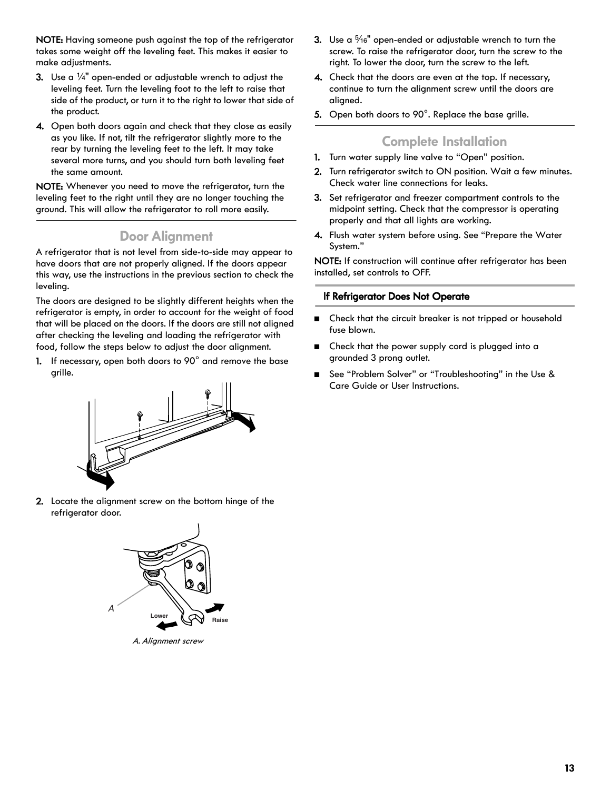NOTE: Having someone push against the top of the refrigerator takes some weight off the leveling feet. This makes it easier to make adjustments.

- **3.** Use a  $\frac{1}{4}$ " open-ended or adjustable wrench to adjust the leveling feet. Turn the leveling foot to the left to raise that side of the product, or turn it to the right to lower that side of the product.
- 4. Open both doors again and check that they close as easily as you like. If not, tilt the refrigerator slightly more to the rear by turning the leveling feet to the left. It may take several more turns, and you should turn both leveling feet the same amount.

NOTE: Whenever you need to move the refrigerator, turn the leveling feet to the right until they are no longer touching the ground. This will allow the refrigerator to roll more easily.

#### **Door Alignment**

A refrigerator that is not level from side-to-side may appear to have doors that are not properly aligned. If the doors appear this way, use the instructions in the previous section to check the leveling.

The doors are designed to be slightly different heights when the refrigerator is empty, in order to account for the weight of food that will be placed on the doors. If the doors are still not aligned after checking the leveling and loading the refrigerator with food, follow the steps below to adjust the door alignment.

1. If necessary, open both doors to 90° and remove the base grille.

![](_page_12_Figure_8.jpeg)

2. Locate the alignment screw on the bottom hinge of the refrigerator door.

![](_page_12_Figure_10.jpeg)

A. Alignment screw

- 3. Use a  $\frac{5}{16}$ " open-ended or adjustable wrench to turn the screw. To raise the refrigerator door, turn the screw to the right. To lower the door, turn the screw to the left.
- 4. Check that the doors are even at the top. If necessary, continue to turn the alignment screw until the doors are aligned.
- 5. Open both doors to 90°. Replace the base grille.

### **Complete Installation**

- 1. Turn water supply line valve to "Open" position.
- 2. Turn refrigerator switch to ON position. Wait a few minutes. Check water line connections for leaks.
- 3. Set refrigerator and freezer compartment controls to the midpoint setting. Check that the compressor is operating properly and that all lights are working.
- 4. Flush water system before using. See "Prepare the Water System."

NOTE: If construction will continue after refrigerator has been installed, set controls to OFF.

#### **If Refrigerator Does Not Operate**

- Check that the circuit breaker is not tripped or household fuse blown.
- Check that the power supply cord is plugged into a grounded 3 prong outlet.
- See "Problem Solver" or "Troubleshooting" in the Use & Care Guide or User Instructions.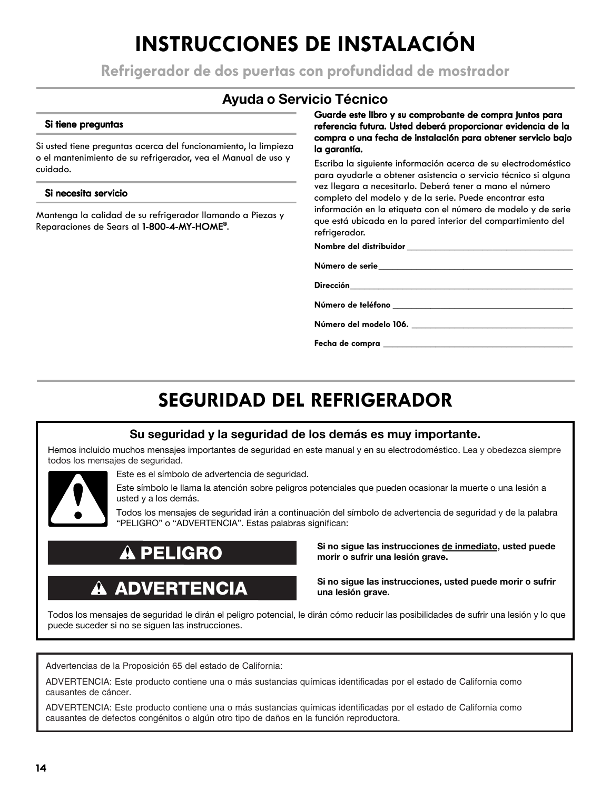## **INSTRUCCIONES DE INSTALACIÓN**

**Refrigerador de dos puertas con profundidad de mostrador**

## **Ayuda o Servicio Técnico**

#### **Si tiene preguntas**

Si usted tiene preguntas acerca del funcionamiento, la limpieza o el mantenimiento de su refrigerador, vea el Manual de uso y cuidado.

#### **Si necesita servicio**

Mantenga la calidad de su refrigerador llamando a Piezas y Reparaciones de Sears al **1-800-4-MY-HOME®**.

**Guarde este libro y su comprobante de compra juntos para referencia futura. Usted deberá proporcionar evidencia de la compra o una fecha de instalación para obtener servicio bajo la garantía.**

Escriba la siguiente información acerca de su electrodoméstico para ayudarle a obtener asistencia o servicio técnico si alguna vez llegara a necesitarlo. Deberá tener a mano el número completo del modelo y de la serie. Puede encontrar esta información en la etiqueta con el número de modelo y de serie que está ubicada en la pared interior del compartimiento del refrigerador.

**Nombre del distribuidor \_\_\_\_\_\_\_\_\_\_\_\_\_\_\_\_\_\_\_\_\_\_\_\_\_\_\_\_\_\_\_\_\_\_\_**

**Número de serie\_\_\_\_\_\_\_\_\_\_\_\_\_\_\_\_\_\_\_\_\_\_\_\_\_\_\_\_\_\_\_\_\_\_\_\_\_\_\_\_\_**

**Dirección\_\_\_\_\_\_\_\_\_\_\_\_\_\_\_\_\_\_\_\_\_\_\_\_\_\_\_\_\_\_\_\_\_\_\_\_\_\_\_\_\_\_\_\_\_\_\_**

**Número de teléfono \_\_\_\_\_\_\_\_\_\_\_\_\_\_\_\_\_\_\_\_\_\_\_\_\_\_\_\_\_\_\_\_\_\_\_\_\_\_**

**Número del modelo 106. \_\_\_\_\_\_\_\_\_\_\_\_\_\_\_\_\_\_\_\_\_\_\_\_\_\_\_\_\_\_\_\_\_\_**

**Fecha de compra \_\_\_\_\_\_\_\_\_\_\_\_\_\_\_\_\_\_\_\_\_\_\_\_\_\_\_\_\_\_\_\_\_\_\_\_\_\_\_\_**

## **SEGURIDAD DEL REFRIGERADOR**

### **Su seguridad y la seguridad de los demás es muy importante.**

Hemos incluido muchos mensajes importantes de seguridad en este manual y en su electrodoméstico. Lea y obedezca siempre todos los mensajes de seguridad.

![](_page_13_Picture_18.jpeg)

Este es el símbolo de advertencia de seguridad.

Este símbolo le llama la atención sobre peligros potenciales que pueden ocasionar la muerte o una lesión a usted y a los demás.

Todos los mensajes de seguridad irán a continuación del símbolo de advertencia de seguridad y de la palabra "PELIGRO" o "ADVERTENCIA". Estas palabras significan:

## **PELIGRO**

## **ADVERTENCIA**

**Si no sigue las instrucciones de inmediato, usted puede morir o sufrir una lesión grave.** 

**Si no sigue las instrucciones, usted puede morir o sufrir una lesión grave.**

Todos los mensajes de seguridad le dirán el peligro potencial, le dirán cómo reducir las posibilidades de sufrir una lesión y lo que puede suceder si no se siguen las instrucciones.

Advertencias de la Proposición 65 del estado de California:

ADVERTENCIA: Este producto contiene una o más sustancias químicas identificadas por el estado de California como causantes de cáncer.

ADVERTENCIA: Este producto contiene una o más sustancias químicas identificadas por el estado de California como causantes de defectos congénitos o algún otro tipo de daños en la función reproductora.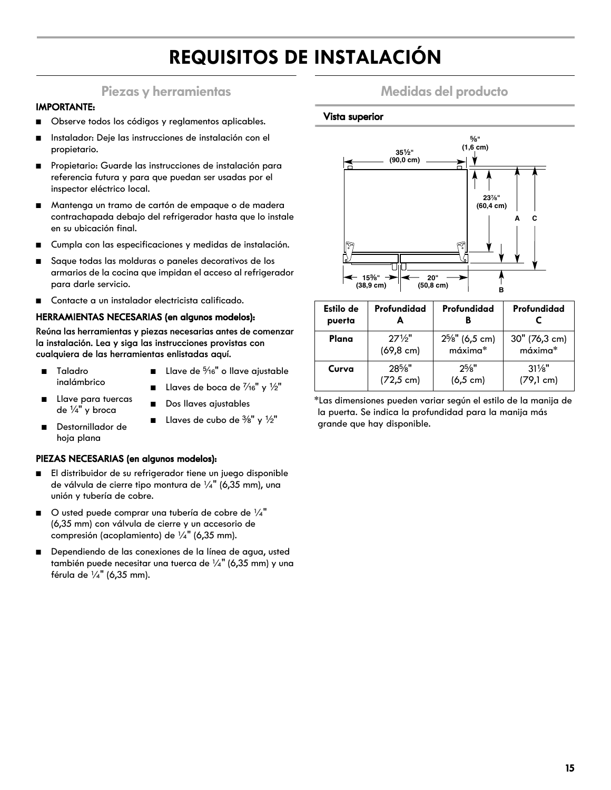## **REQUISITOS DE INSTALACIÓN**

### **Piezas y herramientas**

#### **IMPORTANTE:**

- Observe todos los códigos y reglamentos aplicables.
- Instalador: Deje las instrucciones de instalación con el propietario.
- Propietario: Guarde las instrucciones de instalación para referencia futura y para que puedan ser usadas por el inspector eléctrico local.
- Mantenga un tramo de cartón de empaque o de madera contrachapada debajo del refrigerador hasta que lo instale en su ubicación final.
- Cumpla con las especificaciones y medidas de instalación.
- Saque todas las molduras o paneles decorativos de los armarios de la cocina que impidan el acceso al refrigerador para darle servicio.
- Contacte a un instalador electricista calificado.

#### **HERRAMIENTAS NECESARIAS (en algunos modelos):**

**Reúna las herramientas y piezas necesarias antes de comenzar la instalación. Lea y siga las instrucciones provistas con cualquiera de las herramientas enlistadas aquí.**

- Taladro inalámbrico
- Llave de  $\frac{5}{16}$ " o llave ajustable
- Llaves de boca de  $\frac{7}{16}$ " y  $\frac{1}{2}$ "

**■** Llaves de cubo de  $\frac{3}{8}$ " y  $\frac{1}{2}$ "

- Dos llaves ajustables
- de  $\frac{1}{4}$ " y broca ■ Destornillador de
	- hoja plana

■ Llave para tuercas

#### **PIEZAS NECESARIAS (en algunos modelos):**

- El distribuidor de su refrigerador tiene un juego disponible de válvula de cierre tipo montura de ¼" (6,35 mm), una unión y tubería de cobre.
- $\Box$  O usted puede comprar una tubería de cobre de  $\frac{1}{4}$ " (6,35 mm) con válvula de cierre y un accesorio de compresión (acoplamiento) de ¼" (6,35 mm).
- Dependiendo de las conexiones de la línea de agua, usted también puede necesitar una tuerca de  $\frac{1}{4}$ " (6,35 mm) y una férula de ¼" (6,35 mm).

### **Medidas del producto**

#### **Vista superior**

![](_page_14_Figure_24.jpeg)

| Estilo de<br>puerta | Profundidad          | Profundidad          | Profundidad         |
|---------------------|----------------------|----------------------|---------------------|
| Plana               | $27\frac{1}{2}$      | $2^{5}/s$ " (6,5 cm) | 30" (76,3 cm)       |
|                     | $(69, 8 \text{ cm})$ | máxima*              | máxima*             |
| Curva               | $28\%$ "             | $2^{5}/8"$           | $31\frac{1}{8}$     |
|                     | $(72.5 \text{ cm})$  | $(6, 5 \text{ cm})$  | $(79,1 \text{ cm})$ |

\*Las dimensiones pueden variar según el estilo de la manija de la puerta. Se indica la profundidad para la manija más grande que hay disponible.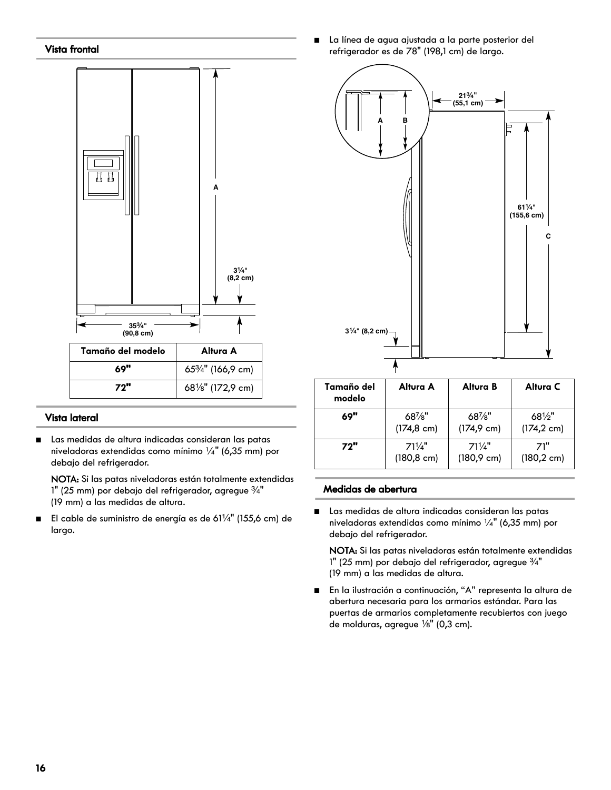#### **Vista frontal**

![](_page_15_Figure_1.jpeg)

| Tamaño del modelo | Altura A                     |
|-------------------|------------------------------|
| 69"               | $65\frac{3}{4}$ " (166,9 cm) |
| <b>72"</b>        | 681/8" (172,9 cm)            |

#### **Vista lateral**

■ Las medidas de altura indicadas consideran las patas niveladoras extendidas como mínimo ¼" (6,35 mm) por debajo del refrigerador.

NOTA: Si las patas niveladoras están totalmente extendidas 1" (25 mm) por debajo del refrigerador, agregue  $\frac{3}{4}$ " (19 mm) a las medidas de altura.

■ El cable de suministro de energía es de 61¼" (155,6 cm) de largo.

La línea de agua ajustada a la parte posterior del refrigerador es de 78" (198,1 cm) de largo.

![](_page_15_Figure_8.jpeg)

| Tamaño del<br>modelo | Altura A              | Altura B              | Altura C              |
|----------------------|-----------------------|-----------------------|-----------------------|
| 69"                  | $68\%$ "              | $68\%$ "              | $68\frac{1}{2}$ "     |
|                      | $(174.8 \text{ cm})$  | $(174.9 \text{ cm})$  | $(174, 2 \text{ cm})$ |
| 72"                  | $71\frac{1}{4}$       | $71\frac{1}{4}$       | 71"                   |
|                      | $(180, 8 \text{ cm})$ | $(180, 9 \text{ cm})$ | $(180, 2 \text{ cm})$ |

#### **Medidas de abertura**

■ Las medidas de altura indicadas consideran las patas niveladoras extendidas como mínimo ¼" (6,35 mm) por debajo del refrigerador.

NOTA: Si las patas niveladoras están totalmente extendidas 1" (25 mm) por debajo del refrigerador, agregue  $\frac{3}{4}$ " (19 mm) a las medidas de altura.

■ En la ilustración a continuación, "A" representa la altura de abertura necesaria para los armarios estándar. Para las puertas de armarios completamente recubiertos con juego de molduras, agregue  $\frac{1}{8}$ " (0,3 cm).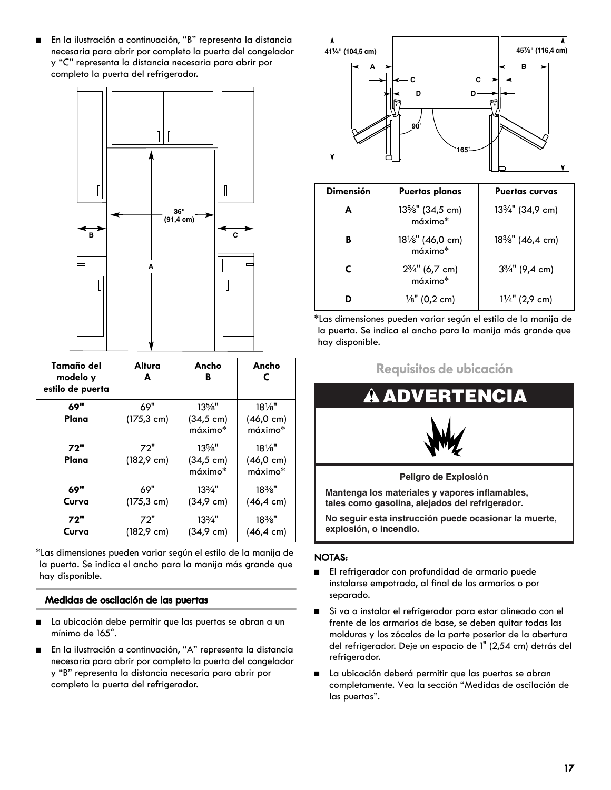■ En la ilustración a continuación, "B" representa la distancia necesaria para abrir por completo la puerta del congelador y "C" representa la distancia necesaria para abrir por completo la puerta del refrigerador.

![](_page_16_Figure_1.jpeg)

| Tamaño del<br>modelo y<br>estilo de puerta | Altura<br>A           | Ancho<br>в                      | Ancho<br>С                                          |
|--------------------------------------------|-----------------------|---------------------------------|-----------------------------------------------------|
| 69"                                        | 69"                   | $13\%$ "                        | $18\%$ "                                            |
| Plana                                      | $(175, 3 \text{ cm})$ | $(34, 5 \text{ cm})$<br>máximo* | $(46, 0 \text{ cm})$<br>$m\acute{\alpha} x$ imo $*$ |
| 72"                                        | 72"                   | $13\%$ "                        | $18\frac{1}{8}$                                     |
| Plana                                      | $(182, 9 \text{ cm})$ | $(34, 5 \text{ cm})$<br>máximo* | $(46, 0 \text{ cm})$<br>$m\acute{\alpha} x$ imo $*$ |
| 69"                                        | 69"                   | $13\frac{3}{4}$ "               | $18\%$ "                                            |
| Curva                                      | $(175, 3 \text{ cm})$ | $(34, 9 \text{ cm})$            | $(46, 4 \text{ cm})$                                |
| 72"                                        | 72"                   | $13\frac{3}{4}$ "               | $18\%$ "                                            |
| Curva                                      | $(182, 9 \text{ cm})$ | $(34.9 \text{ cm})$             | $(46, 4 \text{ cm})$                                |

\*Las dimensiones pueden variar según el estilo de la manija de la puerta. Se indica el ancho para la manija más grande que hay disponible.

#### **Medidas de oscilación de las puertas**

- La ubicación debe permitir que las puertas se abran a un mínimo de 165°.
- En la ilustración a continuación, "A" representa la distancia necesaria para abrir por completo la puerta del congelador y "B" representa la distancia necesaria para abrir por completo la puerta del refrigerador.

![](_page_16_Figure_7.jpeg)

| <b>Dimensión</b> | Puertas planas                            | <b>Puertas curvas</b>                      |
|------------------|-------------------------------------------|--------------------------------------------|
| A                | 13%" (34,5 cm)<br>$m\acute{\alpha}ximo^*$ | 13 <sup>3</sup> / <sub>4</sub> " (34,9 cm) |
| B                | $18\frac{1}{8}$ " (46,0 cm)<br>máximo*    | 18%" (46,4 cm)                             |
|                  | $2\frac{3}{4}$ " (6,7 cm)<br>máximo*      | $3\frac{3}{4}$ " (9,4 cm)                  |
|                  | $\frac{1}{8}$ " (0,2 cm)                  | $1\frac{1}{4}$ " (2,9 cm)                  |

\*Las dimensiones pueden variar según el estilo de la manija de la puerta. Se indica el ancho para la manija más grande que hay disponible.

![](_page_16_Figure_10.jpeg)

**tales como gasolina, alejados del refrigerador.**

**No seguir esta instrucción puede ocasionar la muerte, explosión, o incendio.**

#### **NOTAS:**

- El refrigerador con profundidad de armario puede instalarse empotrado, al final de los armarios o por separado.
- Si va a instalar el refrigerador para estar alineado con el frente de los armarios de base, se deben quitar todas las molduras y los zócalos de la parte poserior de la abertura del refrigerador. Deje un espacio de 1" (2,54 cm) detrás del refrigerador.
- La ubicación deberá permitir que las puertas se abran completamente. Vea la sección "Medidas de oscilación de las puertas".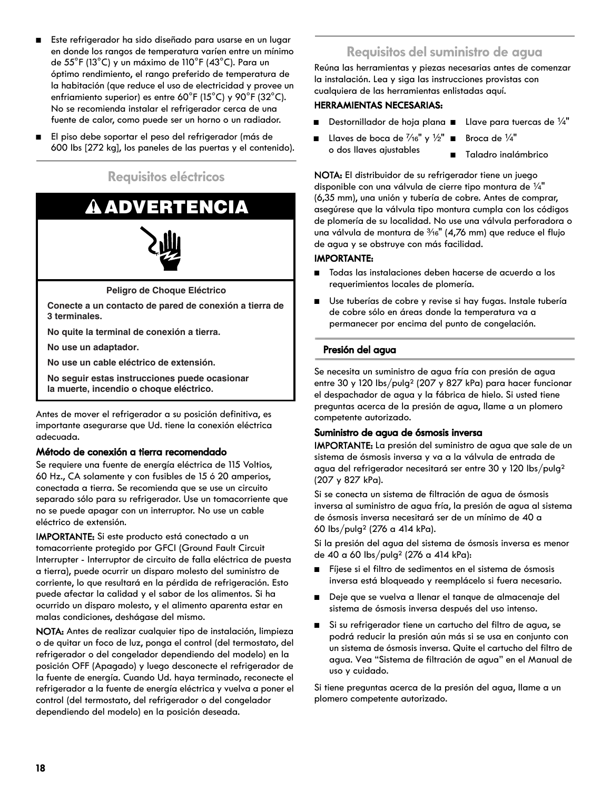- Este refrigerador ha sido diseñado para usarse en un lugar en donde los rangos de temperatura varíen entre un mínimo de 55°F (13°C) y un máximo de 110°F (43°C). Para un óptimo rendimiento, el rango preferido de temperatura de la habitación (que reduce el uso de electricidad y provee un enfriamiento superior) es entre 60°F (15°C) y 90°F (32°C). No se recomienda instalar el refrigerador cerca de una fuente de calor, como puede ser un horno o un radiador.
- El piso debe soportar el peso del refrigerador (más de 600 lbs [272 kg], los paneles de las puertas y el contenido).

**Requisitos eléctricos**

![](_page_17_Picture_3.jpeg)

**No quite la terminal de conexión a tierra.**

**No use un adaptador.**

**No use un cable eléctrico de extensión.**

**No seguir estas instrucciones puede ocasionar la muerte, incendio o choque eléctrico.**

Antes de mover el refrigerador a su posición definitiva, es importante asegurarse que Ud. tiene la conexión eléctrica adecuada.

#### **Método de conexión a tierra recomendado**

Se requiere una fuente de energía eléctrica de 115 Voltios, 60 Hz., CA solamente y con fusibles de 15 ó 20 amperios, conectada a tierra. Se recomienda que se use un circuito separado sólo para su refrigerador. Use un tomacorriente que no se puede apagar con un interruptor. No use un cable eléctrico de extensión.

IMPORTANTE: Si este producto está conectado a un tomacorriente protegido por GFCI (Ground Fault Circuit Interrupter - Interruptor de circuito de falla eléctrica de puesta a tierra), puede ocurrir un disparo molesto del suministro de corriente, lo que resultará en la pérdida de refrigeración. Esto puede afectar la calidad y el sabor de los alimentos. Si ha ocurrido un disparo molesto, y el alimento aparenta estar en malas condiciones, deshágase del mismo.

NOTA: Antes de realizar cualquier tipo de instalación, limpieza o de quitar un foco de luz, ponga el control (del termostato, del refrigerador o del congelador dependiendo del modelo) en la posición OFF (Apagado) y luego desconecte el refrigerador de la fuente de energía. Cuando Ud. haya terminado, reconecte el refrigerador a la fuente de energía eléctrica y vuelva a poner el control (del termostato, del refrigerador o del congelador dependiendo del modelo) en la posición deseada.

## **Requisitos del suministro de agua**

Reúna las herramientas y piezas necesarias antes de comenzar la instalación. Lea y siga las instrucciones provistas con cualquiera de las herramientas enlistadas aquí.

#### **HERRAMIENTAS NECESARIAS:**

- Destornillador de hoja plana Llave para tuercas de ¼"
- Llaves de boca de 1⁄16" y 1⁄2" Broca de 1⁄4" o dos llaves ajustables
- - - Taladro inalámbrico

NOTA: El distribuidor de su refrigerador tiene un juego disponible con una válvula de cierre tipo montura de  $\frac{1}{4}$ " (6,35 mm), una unión y tubería de cobre. Antes de comprar, asegúrese que la válvula tipo montura cumpla con los códigos de plomería de su localidad. No use una válvula perforadora o una válvula de montura de 3/16" (4,76 mm) que reduce el flujo de agua y se obstruye con más facilidad.

#### **IMPORTANTE:**

- Todas las instalaciones deben hacerse de acuerdo a los requerimientos locales de plomería.
- Use tuberías de cobre y revise si hay fugas. Instale tubería de cobre sólo en áreas donde la temperatura va a permanecer por encima del punto de congelación.

#### **Presión del agua**

Se necesita un suministro de agua fría con presión de agua entre 30 y 120 lbs/pulg2 (207 y 827 kPa) para hacer funcionar el despachador de agua y la fábrica de hielo. Si usted tiene preguntas acerca de la presión de agua, llame a un plomero competente autorizado.

#### **Suministro de agua de ósmosis inversa**

IMPORTANTE: La presión del suministro de agua que sale de un sistema de ósmosis inversa y va a la válvula de entrada de agua del refrigerador necesitará ser entre 30 y 120 lbs/pulg2 (207 y 827 kPa).

Si se conecta un sistema de filtración de agua de ósmosis inversa al suministro de agua fría, la presión de agua al sistema de ósmosis inversa necesitará ser de un mínimo de 40 a 60 lbs/pulg2 (276 a 414 kPa).

Si la presión del agua del sistema de ósmosis inversa es menor de 40 a 60 lbs/pulg2 (276 a 414 kPa):

- Fíjese si el filtro de sedimentos en el sistema de ósmosis inversa está bloqueado y reemplácelo si fuera necesario.
- Deje que se vuelva a llenar el tanque de almacenaje del sistema de ósmosis inversa después del uso intenso.
- Si su refrigerador tiene un cartucho del filtro de agua, se podrá reducir la presión aún más si se usa en conjunto con un sistema de ósmosis inversa. Quite el cartucho del filtro de agua. Vea "Sistema de filtración de agua" en el Manual de uso y cuidado.

Si tiene preguntas acerca de la presión del agua, llame a un plomero competente autorizado.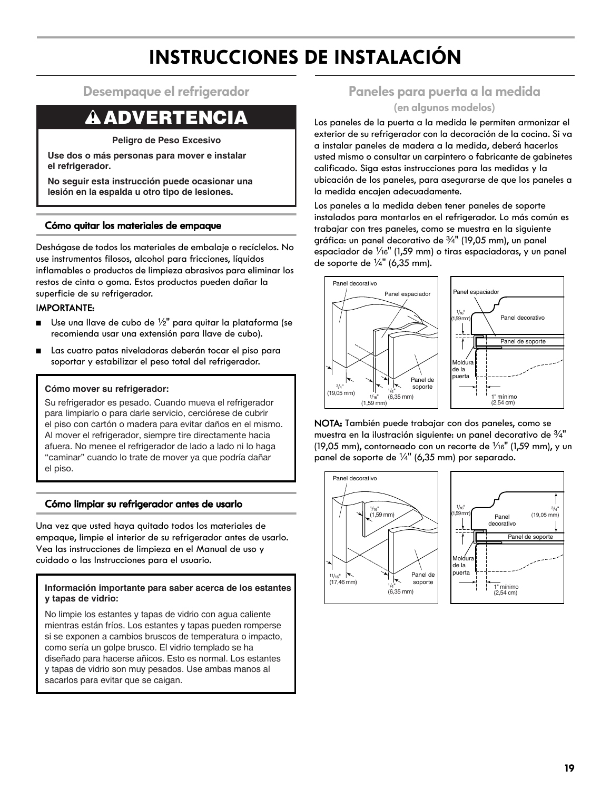## **INSTRUCCIONES DE INSTALACIÓN**

### **Desempaque el refrigerador**

## **ADVERTENCIA**

**Peligro de Peso Excesivo**

**Use dos o más personas para mover e instalar el refrigerador.**

**No seguir esta instrucción puede ocasionar una lesión en la espalda u otro tipo de lesiones.**

#### **Cómo quitar los materiales de empaque**

Deshágase de todos los materiales de embalaje o recíclelos. No use instrumentos filosos, alcohol para fricciones, líquidos inflamables o productos de limpieza abrasivos para eliminar los restos de cinta o goma. Estos productos pueden dañar la superficie de su refrigerador.

#### IMPORTANTE:

- Use una llave de cubo de 1/2" para quitar la plataforma (se recomienda usar una extensión para llave de cubo).
- Las cuatro patas niveladoras deberán tocar el piso para soportar y estabilizar el peso total del refrigerador.

#### **Cómo mover su refrigerador:**

Su refrigerador es pesado. Cuando mueva el refrigerador para limpiarlo o para darle servicio, cerciórese de cubrir el piso con cartón o madera para evitar daños en el mismo. Al mover el refrigerador, siempre tire directamente hacia afuera. No menee el refrigerador de lado a lado ni lo haga "caminar" cuando lo trate de mover ya que podría dañar el piso.

#### **Cómo limpiar su refrigerador antes de usarlo**

Una vez que usted haya quitado todos los materiales de empaque, limpie el interior de su refrigerador antes de usarlo. Vea las instrucciones de limpieza en el Manual de uso y cuidado o las Instrucciones para el usuario.

#### **Información importante para saber acerca de los estantes y tapas de vidrio:**

No limpie los estantes y tapas de vidrio con agua caliente mientras están fríos. Los estantes y tapas pueden romperse si se exponen a cambios bruscos de temperatura o impacto, como sería un golpe brusco. El vidrio templado se ha diseñado para hacerse añicos. Esto es normal. Los estantes y tapas de vidrio son muy pesados. Use ambas manos al sacarlos para evitar que se caigan.

## **Paneles para puerta a la medida**

#### **(en algunos modelos)**

Los paneles de la puerta a la medida le permiten armonizar el exterior de su refrigerador con la decoración de la cocina. Si va a instalar paneles de madera a la medida, deberá hacerlos usted mismo o consultar un carpintero o fabricante de gabinetes calificado. Siga estas instrucciones para las medidas y la ubicación de los paneles, para asegurarse de que los paneles a la medida encajen adecuadamente.

Los paneles a la medida deben tener paneles de soporte instalados para montarlos en el refrigerador. Lo más común es trabajar con tres paneles, como se muestra en la siguiente gráfica: un panel decorativo de  $\frac{3}{4}$ " (19,05 mm), un panel espaciador de  $\frac{1}{6}$ " (1,59 mm) o tiras espaciadoras, y un panel de soporte de  $\frac{1}{4}$ " (6,35 mm).

![](_page_18_Figure_21.jpeg)

NOTA: También puede trabajar con dos paneles, como se muestra en la ilustración siguiente: un panel decorativo de 3/4" (19,05 mm), contorneado con un recorte de  $\frac{1}{16}$ " (1,59 mm), y un panel de soporte de  $\frac{1}{4}$ " (6,35 mm) por separado.

![](_page_18_Figure_23.jpeg)

![](_page_18_Figure_24.jpeg)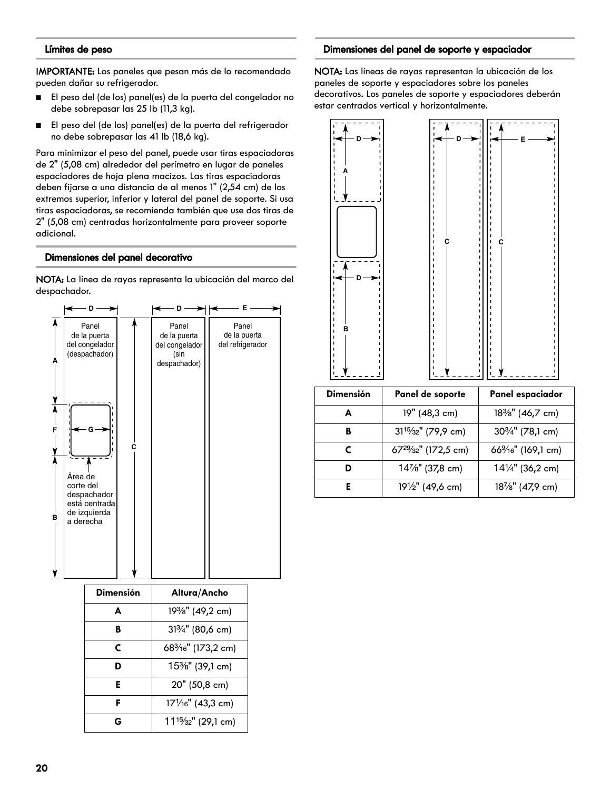#### **Límites de peso**

IMPORTANTE: Los paneles que pesan más de lo recomendado pueden dañar su refrigerador.

- El peso del (de los) panel(es) de la puerta del congelador no debe sobrepasar las 25 lb (11,3 kg).
- El peso del (de los) panel(es) de la puerta del refrigerador no debe sobrepasar las 41 lb (18,6 kg).

Para minimizar el peso del panel, puede usar tiras espaciadoras de 2" (5,08 cm) alrededor del perímetro en lugar de paneles espaciadores de hoja plena macizos. Las tiras espaciadoras deben fijarse a una distancia de al menos 1" (2,54 cm) de los extremos superior, inferior y lateral del panel de soporte. Si usa tiras espaciadoras, se recomienda también que use dos tiras de 2" (5,08 cm) centradas horizontalmente para proveer soporte adicional.

#### **Dimensiones del panel decorativo**

NOTA: La línea de rayas representa la ubicación del marco del despachador.

![](_page_19_Figure_7.jpeg)

| Dimensión | Altura/Ancho                                 |
|-----------|----------------------------------------------|
| A         | 19 <sup>3</sup> / <sub>8</sub> " (49,2 cm)   |
| в         | 313/4" (80,6 cm)                             |
| C         | 68 <sup>3</sup> / <sub>16</sub> " (173,2 cm) |
| D         | 15%" (39,1 cm)                               |
| Е         | 20" (50,8 cm)                                |
| F         | 171/16" (43,3 cm)                            |
| G         | 11 <sup>15</sup> / <sub>32</sub> " (29,1 cm) |

#### **Dimensiones del panel de soporte y espaciador**

NOTA: Las líneas de rayas representan la ubicación de los paneles de soporte y espaciadores sobre los paneles decorativos. Los paneles de soporte y espaciadores deberán estar centrados vertical y horizontalmente.

![](_page_19_Figure_11.jpeg)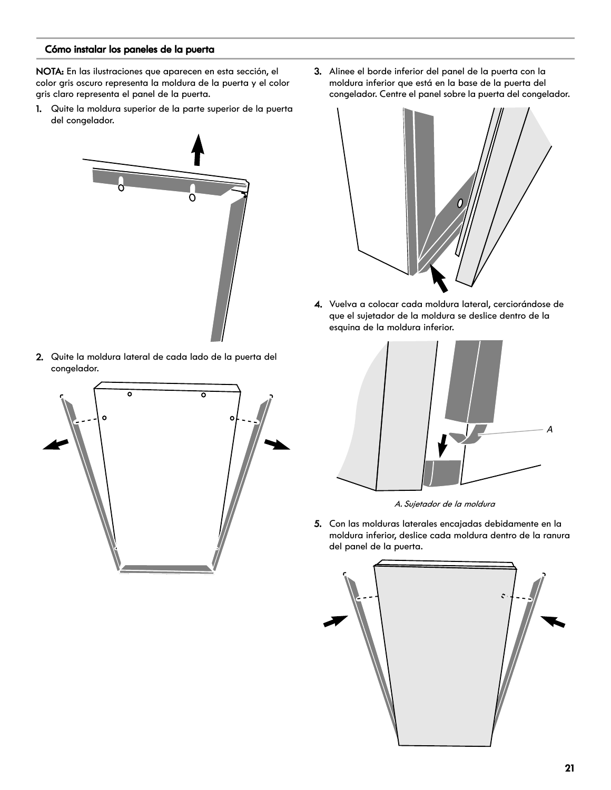#### **Cómo instalar los paneles de la puerta**

NOTA: En las ilustraciones que aparecen en esta sección, el color gris oscuro representa la moldura de la puerta y el color gris claro representa el panel de la puerta.

1. Quite la moldura superior de la parte superior de la puerta del congelador.

![](_page_20_Picture_3.jpeg)

2. Quite la moldura lateral de cada lado de la puerta del congelador.

![](_page_20_Picture_5.jpeg)

3. Alinee el borde inferior del panel de la puerta con la moldura inferior que está en la base de la puerta del congelador. Centre el panel sobre la puerta del congelador.

![](_page_20_Figure_7.jpeg)

4. Vuelva a colocar cada moldura lateral, cerciorándose de que el sujetador de la moldura se deslice dentro de la esquina de la moldura inferior.

![](_page_20_Picture_9.jpeg)

A. Sujetador de la moldura

5. Con las molduras laterales encajadas debidamente en la moldura inferior, deslice cada moldura dentro de la ranura del panel de la puerta.

![](_page_20_Picture_12.jpeg)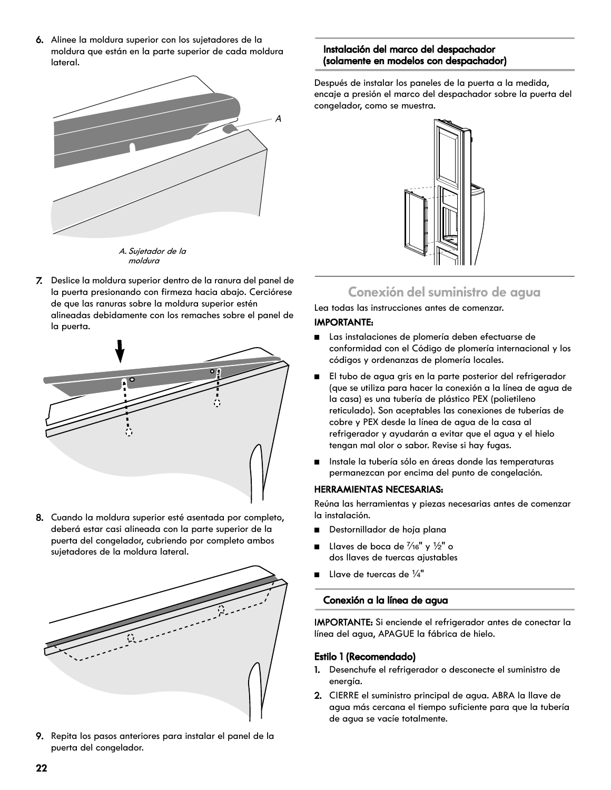6. Alinee la moldura superior con los sujetadores de la moldura que están en la parte superior de cada moldura lateral.

![](_page_21_Figure_1.jpeg)

moldura

7. Deslice la moldura superior dentro de la ranura del panel de la puerta presionando con firmeza hacia abajo. Cerciórese de que las ranuras sobre la moldura superior estén alineadas debidamente con los remaches sobre el panel de la puerta.

![](_page_21_Figure_4.jpeg)

8. Cuando la moldura superior esté asentada por completo, deberá estar casi alineada con la parte superior de la puerta del congelador, cubriendo por completo ambos sujetadores de la moldura lateral.

![](_page_21_Picture_6.jpeg)

9. Repita los pasos anteriores para instalar el panel de la puerta del congelador.

#### **Instalación del marco del despachador (solamente en modelos con despachador)**

Después de instalar los paneles de la puerta a la medida, encaje a presión el marco del despachador sobre la puerta del congelador, como se muestra.

![](_page_21_Picture_10.jpeg)

### **Conexión del suministro de agua**

Lea todas las instrucciones antes de comenzar.

#### **IMPORTANTE:**

- Las instalaciones de plomería deben efectuarse de conformidad con el Código de plomería internacional y los códigos y ordenanzas de plomería locales.
- El tubo de agua gris en la parte posterior del refrigerador (que se utiliza para hacer la conexión a la línea de agua de la casa) es una tubería de plástico PEX (polietileno reticulado). Son aceptables las conexiones de tuberías de cobre y PEX desde la línea de agua de la casa al refrigerador y ayudarán a evitar que el agua y el hielo tengan mal olor o sabor. Revise si hay fugas.
- Instale la tubería sólo en áreas donde las temperaturas permanezcan por encima del punto de congelación.

#### **HERRAMIENTAS NECESARIAS:**

Reúna las herramientas y piezas necesarias antes de comenzar la instalación.

- Destornillador de hoja plana
- Llaves de boca de  $\frac{7}{16}$ " y  $\frac{1}{2}$ " o dos llaves de tuercas ajustables
- Llave de tuercas de  $\frac{1}{4}$ "

#### **Conexión a la línea de agua**

IMPORTANTE: Si enciende el refrigerador antes de conectar la línea del agua, APAGUE la fábrica de hielo.

#### **Estilo 1 (Recomendado)**

- 1. Desenchufe el refrigerador o desconecte el suministro de energía.
- 2. CIERRE el suministro principal de agua. ABRA la llave de agua más cercana el tiempo suficiente para que la tubería de agua se vacíe totalmente.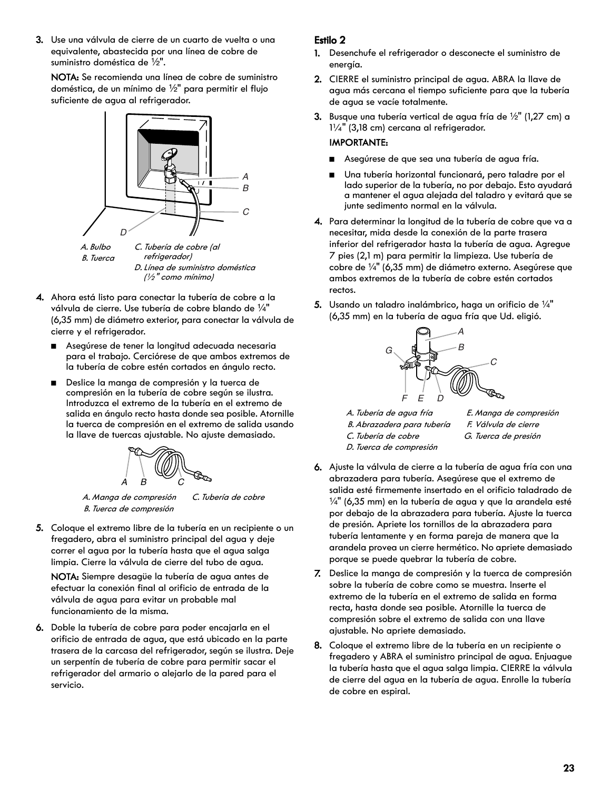3. Use una válvula de cierre de un cuarto de vuelta o una equivalente, abastecida por una línea de cobre de suministro doméstica de  $\frac{1}{2}$ ".

NOTA: Se recomienda una línea de cobre de suministro doméstica, de un mínimo de  $\frac{1}{2}$ " para permitir el flujo suficiente de agua al refrigerador.

![](_page_22_Figure_2.jpeg)

D. Línea de suministro doméstica (½" como mínimo)

- 4. Ahora está listo para conectar la tubería de cobre a la válvula de cierre. Use tubería de cobre blando de  $\frac{1}{4}$ " (6,35 mm) de diámetro exterior, para conectar la válvula de cierre y el refrigerador.
	- Asegúrese de tener la longitud adecuada necesaria para el trabajo. Cerciórese de que ambos extremos de la tubería de cobre estén cortados en ángulo recto.
	- Deslice la manga de compresión y la tuerca de compresión en la tubería de cobre según se ilustra. Introduzca el extremo de la tubería en el extremo de salida en ángulo recto hasta donde sea posible. Atornille la tuerca de compresión en el extremo de salida usando la llave de tuercas ajustable. No ajuste demasiado.

![](_page_22_Figure_7.jpeg)

A. Manga de compresión B. Tuerca de compresión

C. Tubería de cobre

5. Coloque el extremo libre de la tubería en un recipiente o un fregadero, abra el suministro principal del agua y deje correr el agua por la tubería hasta que el agua salga limpia. Cierre la válvula de cierre del tubo de agua.

NOTA: Siempre desagüe la tubería de agua antes de efectuar la conexión final al orificio de entrada de la válvula de agua para evitar un probable mal funcionamiento de la misma.

6. Doble la tubería de cobre para poder encajarla en el orificio de entrada de agua, que está ubicado en la parte trasera de la carcasa del refrigerador, según se ilustra. Deje un serpentín de tubería de cobre para permitir sacar el refrigerador del armario o alejarlo de la pared para el servicio.

#### **Estilo 2**

- 1. Desenchufe el refrigerador o desconecte el suministro de energía.
- 2. CIERRE el suministro principal de agua. ABRA la llave de agua más cercana el tiempo suficiente para que la tubería de agua se vacíe totalmente.
- 3. Busque una tubería vertical de agua fría de  $\frac{1}{2}$ " (1,27 cm) a 1¼" (3,18 cm) cercana al refrigerador.

#### IMPORTANTE:

- Asegúrese de que sea una tubería de agua fría.
- Una tubería horizontal funcionará, pero taladre por el lado superior de la tubería, no por debajo. Esto ayudará a mantener el agua alejada del taladro y evitará que se junte sedimento normal en la válvula.
- 4. Para determinar la longitud de la tubería de cobre que va a necesitar, mida desde la conexión de la parte trasera inferior del refrigerador hasta la tubería de agua. Agregue 7 pies (2,1 m) para permitir la limpieza. Use tubería de cobre de  $\frac{1}{4}$ " (6,35 mm) de diámetro externo. Asegúrese que ambos extremos de la tubería de cobre estén cortados rectos.
- 5. Usando un taladro inalámbrico, haga un orificio de  $\frac{1}{4}$ " (6,35 mm) en la tubería de agua fría que Ud. eligió.

![](_page_22_Picture_22.jpeg)

A. Tubería de agua fría B. Abrazadera para tubería C. Tubería de cobre D. Tuerca de compresión

E. Manga de compresión F. Válvula de cierre G. Tuerca de presión

- 6. Ajuste la válvula de cierre a la tubería de agua fría con una abrazadera para tubería. Asegúrese que el extremo de salida esté firmemente insertado en el orificio taladrado de  $\frac{1}{4}$ " (6,35 mm) en la tubería de agua y que la arandela esté por debajo de la abrazadera para tubería. Ajuste la tuerca de presión. Apriete los tornillos de la abrazadera para tubería lentamente y en forma pareja de manera que la arandela provea un cierre hermético. No apriete demasiado porque se puede quebrar la tubería de cobre.
- 7. Deslice la manga de compresión y la tuerca de compresión sobre la tubería de cobre como se muestra. Inserte el extremo de la tubería en el extremo de salida en forma recta, hasta donde sea posible. Atornille la tuerca de compresión sobre el extremo de salida con una llave ajustable. No apriete demasiado.
- 8. Coloque el extremo libre de la tubería en un recipiente o fregadero y ABRA el suministro principal de agua. Enjuague la tubería hasta que el agua salga limpia. CIERRE la válvula de cierre del agua en la tubería de agua. Enrolle la tubería de cobre en espiral.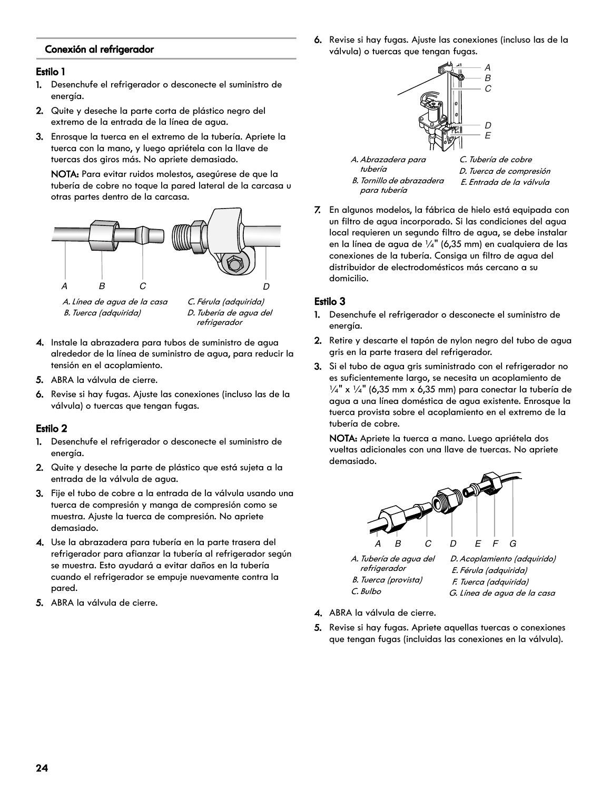#### **Conexión al refrigerador**

#### **Estilo 1**

- 1. Desenchufe el refrigerador o desconecte el suministro de energía.
- 2. Quite y deseche la parte corta de plástico negro del extremo de la entrada de la línea de agua.
- 3. Enrosque la tuerca en el extremo de la tubería. Apriete la tuerca con la mano, y luego apriétela con la llave de tuercas dos giros más. No apriete demasiado.

NOTA: Para evitar ruidos molestos, asegúrese de que la tubería de cobre no toque la pared lateral de la carcasa u otras partes dentro de la carcasa.

![](_page_23_Figure_6.jpeg)

![](_page_23_Figure_7.jpeg)

D. Tubería de agua del refrigerador

- 4. Instale la abrazadera para tubos de suministro de agua alrededor de la línea de suministro de agua, para reducir la tensión en el acoplamiento.
- 5. ABRA la válvula de cierre.
- 6. Revise si hay fugas. Ajuste las conexiones (incluso las de la válvula) o tuercas que tengan fugas.

#### **Estilo 2**

- 1. Desenchufe el refrigerador o desconecte el suministro de energía.
- 2. Quite y deseche la parte de plástico que está sujeta a la entrada de la válvula de agua.
- 3. Fije el tubo de cobre a la entrada de la válvula usando una tuerca de compresión y manga de compresión como se muestra. Ajuste la tuerca de compresión. No apriete demasiado.
- 4. Use la abrazadera para tubería en la parte trasera del refrigerador para afianzar la tubería al refrigerador según se muestra. Esto ayudará a evitar daños en la tubería cuando el refrigerador se empuje nuevamente contra la pared.
- 5. ABRA la válvula de cierre.

6. Revise si hay fugas. Ajuste las conexiones (incluso las de la válvula) o tuercas que tengan fugas.

![](_page_23_Figure_19.jpeg)

7. En algunos modelos, la fábrica de hielo está equipada con un filtro de agua incorporado. Si las condiciones del agua local requieren un segundo filtro de agua, se debe instalar en la línea de agua de  $\frac{1}{4}$ " (6,35 mm) en cualquiera de las conexiones de la tubería. Consiga un filtro de agua del distribuidor de electrodomésticos más cercano a su domicilio.

#### **Estilo 3**

- 1. Desenchufe el refrigerador o desconecte el suministro de energía.
- 2. Retire y descarte el tapón de nylon negro del tubo de agua gris en la parte trasera del refrigerador.
- 3. Si el tubo de agua gris suministrado con el refrigerador no es suficientemente largo, se necesita un acoplamiento de  $\frac{1}{4}$ " x  $\frac{1}{4}$ " (6,35 mm x 6,35 mm) para conectar la tubería de agua a una línea doméstica de agua existente. Enrosque la tuerca provista sobre el acoplamiento en el extremo de la tubería de cobre.

NOTA: Apriete la tuerca a mano. Luego apriétela dos vueltas adicionales con una llave de tuercas. No apriete demasiado.

![](_page_23_Figure_26.jpeg)

refrigerador B. Tuerca (provista) C. Bulbo

D. Acoplamiento (adquirido) E. Férula (adquirida) F. Tuerca (adquirida) G. Línea de agua de la casa

- 4. ABRA la válvula de cierre.
- 5. Revise si hay fugas. Apriete aquellas tuercas o conexiones que tengan fugas (incluidas las conexiones en la válvula).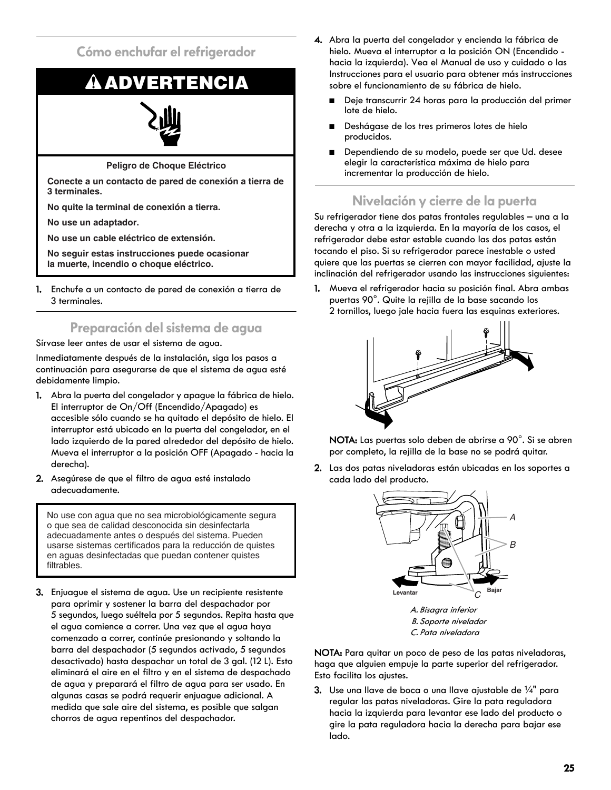**Cómo enchufar el refrigerador**

# **ADVERTENCIA**

![](_page_24_Picture_2.jpeg)

**Peligro de Choque Eléctrico**

**Conecte a un contacto de pared de conexión a tierra de 3 terminales.**

**No quite la terminal de conexión a tierra.**

**No use un adaptador.**

**No use un cable eléctrico de extensión.**

**No seguir estas instrucciones puede ocasionar la muerte, incendio o choque eléctrico.**

1. Enchufe a un contacto de pared de conexión a tierra de 3 terminales.

## **Preparación del sistema de agua**

Sírvase leer antes de usar el sistema de agua.

Inmediatamente después de la instalación, siga los pasos a continuación para asegurarse de que el sistema de agua esté debidamente limpio.

- 1. Abra la puerta del congelador y apague la fábrica de hielo. El interruptor de On/Off (Encendido/Apagado) es accesible sólo cuando se ha quitado el depósito de hielo. El interruptor está ubicado en la puerta del congelador, en el lado izquierdo de la pared alrededor del depósito de hielo. Mueva el interruptor a la posición OFF (Apagado - hacia la derecha).
- 2. Asegúrese de que el filtro de agua esté instalado adecuadamente.

No use con agua que no sea microbiológicamente segura o que sea de calidad desconocida sin desinfectarla adecuadamente antes o después del sistema. Pueden usarse sistemas certificados para la reducción de quistes en aguas desinfectadas que puedan contener quistes filtrables.

3. Enjuague el sistema de agua. Use un recipiente resistente para oprimir y sostener la barra del despachador por 5 segundos, luego suéltela por 5 segundos. Repita hasta que el agua comience a correr. Una vez que el agua haya comenzado a correr, continúe presionando y soltando la barra del despachador (5 segundos activado, 5 segundos desactivado) hasta despachar un total de 3 gal. (12 L). Esto eliminará el aire en el filtro y en el sistema de despachado de agua y preparará el filtro de agua para ser usado. En algunas casas se podrá requerir enjuague adicional. A medida que sale aire del sistema, es posible que salgan chorros de agua repentinos del despachador.

- 4. Abra la puerta del congelador y encienda la fábrica de hielo. Mueva el interruptor a la posición ON (Encendido hacia la izquierda). Vea el Manual de uso y cuidado o las Instrucciones para el usuario para obtener más instrucciones sobre el funcionamiento de su fábrica de hielo.
	- Deje transcurrir 24 horas para la producción del primer lote de hielo.
	- Deshágase de los tres primeros lotes de hielo producidos.
	- Dependiendo de su modelo, puede ser que Ud. desee elegir la característica máxima de hielo para incrementar la producción de hielo.

## **Nivelación y cierre de la puerta**

Su refrigerador tiene dos patas frontales regulables – una a la derecha y otra a la izquierda. En la mayoría de los casos, el refrigerador debe estar estable cuando las dos patas están tocando el piso. Si su refrigerador parece inestable o usted quiere que las puertas se cierren con mayor facilidad, ajuste la inclinación del refrigerador usando las instrucciones siguientes:

1. Mueva el refrigerador hacia su posición final. Abra ambas puertas 90°. Quite la rejilla de la base sacando los 2 tornillos, luego jale hacia fuera las esquinas exteriores.

![](_page_24_Figure_24.jpeg)

NOTA: Las puertas solo deben de abrirse a 90°. Si se abren por completo, la rejilla de la base no se podrá quitar.

2. Las dos patas niveladoras están ubicadas en los soportes a cada lado del producto.

![](_page_24_Figure_27.jpeg)

C. Pata niveladora

NOTA: Para quitar un poco de peso de las patas niveladoras, haga que alguien empuje la parte superior del refrigerador. Esto facilita los ajustes.

3. Use una llave de boca o una llave ajustable de  $\frac{1}{4}$ " para regular las patas niveladoras. Gire la pata reguladora hacia la izquierda para levantar ese lado del producto o gire la pata reguladora hacia la derecha para bajar ese lado.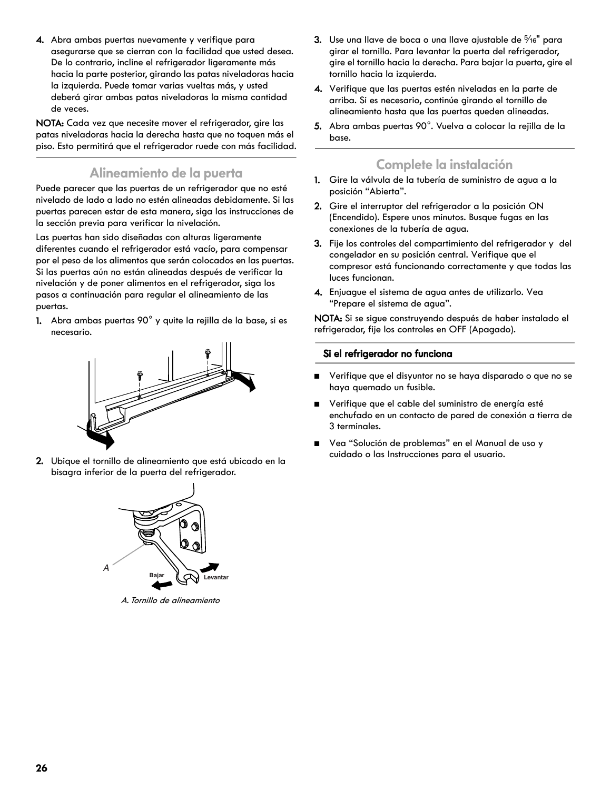4. Abra ambas puertas nuevamente y verifique para asegurarse que se cierran con la facilidad que usted desea. De lo contrario, incline el refrigerador ligeramente más hacia la parte posterior, girando las patas niveladoras hacia la izquierda. Puede tomar varias vueltas más, y usted deberá girar ambas patas niveladoras la misma cantidad de veces.

NOTA: Cada vez que necesite mover el refrigerador, gire las patas niveladoras hacia la derecha hasta que no toquen más el piso. Esto permitirá que el refrigerador ruede con más facilidad.

### **Alineamiento de la puerta**

Puede parecer que las puertas de un refrigerador que no esté nivelado de lado a lado no estén alineadas debidamente. Si las puertas parecen estar de esta manera, siga las instrucciones de la sección previa para verificar la nivelación.

Las puertas han sido diseñadas con alturas ligeramente diferentes cuando el refrigerador está vacío, para compensar por el peso de los alimentos que serán colocados en las puertas. Si las puertas aún no están alineadas después de verificar la nivelación y de poner alimentos en el refrigerador, siga los pasos a continuación para regular el alineamiento de las puertas.

1. Abra ambas puertas 90° y quite la rejilla de la base, si es necesario.

![](_page_25_Figure_6.jpeg)

2. Ubique el tornillo de alineamiento que está ubicado en la bisagra inferior de la puerta del refrigerador.

![](_page_25_Figure_8.jpeg)

A. Tornillo de alineamiento

- 3. Use una llave de boca o una llave ajustable de  $\frac{5}{16}$ " para girar el tornillo. Para levantar la puerta del refrigerador, gire el tornillo hacia la derecha. Para bajar la puerta, gire el tornillo hacia la izquierda.
- 4. Verifique que las puertas estén niveladas en la parte de arriba. Si es necesario, continúe girando el tornillo de alineamiento hasta que las puertas queden alineadas.
- 5. Abra ambas puertas 90°. Vuelva a colocar la rejilla de la base.

### **Complete la instalación**

- 1. Gire la válvula de la tubería de suministro de agua a la posición "Abierta".
- 2. Gire el interruptor del refrigerador a la posición ON (Encendido). Espere unos minutos. Busque fugas en las conexiones de la tubería de agua.
- 3. Fije los controles del compartimiento del refrigerador y del congelador en su posición central. Verifique que el compresor está funcionando correctamente y que todas las luces funcionan.
- 4. Enjuague el sistema de agua antes de utilizarlo. Vea "Prepare el sistema de agua".

NOTA: Si se sigue construyendo después de haber instalado el refrigerador, fije los controles en OFF (Apagado).

#### **Si el refrigerador no funciona**

- Verifique que el disyuntor no se haya disparado o que no se haya quemado un fusible.
- Verifique que el cable del suministro de energía esté enchufado en un contacto de pared de conexión a tierra de 3 terminales.
- Vea "Solución de problemas" en el Manual de uso y cuidado o las Instrucciones para el usuario.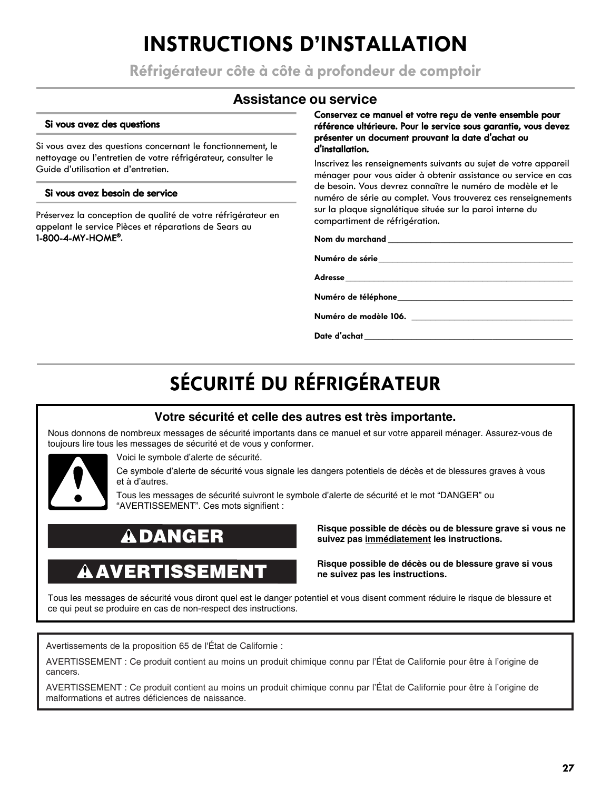## **INSTRUCTIONS D'INSTALLATION**

**Réfrigérateur côte à côte à profondeur de comptoir**

### **Assistance ou service**

#### **Si vous avez des questions**

Si vous avez des questions concernant le fonctionnement, le nettoyage ou l'entretien de votre réfrigérateur, consulter le Guide d'utilisation et d'entretien.

#### **Si vous avez besoin de service**

Préservez la conception de qualité de votre réfrigérateur en appelant le service Pièces et réparations de Sears au 1-800-4-MY-HOME®.

#### **Conservez ce manuel et votre reçu de vente ensemble pour référence ultérieure. Pour le service sous garantie, vous devez présenter un document prouvant la date d'achat ou d'installation.**

Inscrivez les renseignements suivants au sujet de votre appareil ménager pour vous aider à obtenir assistance ou service en cas de besoin. Vous devrez connaître le numéro de modèle et le numéro de série au complet. Vous trouverez ces renseignements sur la plaque signalétique située sur la paroi interne du compartiment de réfrigération.

Nom du marchand **with the matrice of the state of the state of the state of the state of the state of the state of the state of the state of the state of the state of the state of the state of the state of the state of the** 

**Numéro de série\_\_\_\_\_\_\_\_\_\_\_\_\_\_\_\_\_\_\_\_\_\_\_\_\_\_\_\_\_\_\_\_\_\_\_\_\_\_\_\_\_**

**Adresse\_\_\_\_\_\_\_\_\_\_\_\_\_\_\_\_\_\_\_\_\_\_\_\_\_\_\_\_\_\_\_\_\_\_\_\_\_\_\_\_\_\_\_\_\_\_\_\_**

**Numéro de téléphone\_\_\_\_\_\_\_\_\_\_\_\_\_\_\_\_\_\_\_\_\_\_\_\_\_\_\_\_\_\_\_\_\_\_\_\_\_**

**Numéro de modèle 106. \_\_\_\_\_\_\_\_\_\_\_\_\_\_\_\_\_\_\_\_\_\_\_\_\_\_\_\_\_\_\_\_\_\_**

**Date d'achat \_\_\_\_\_\_\_\_\_\_\_\_\_\_\_\_\_\_\_\_\_\_\_\_\_\_\_\_\_\_\_\_\_\_\_\_\_\_\_\_\_\_\_\_**

# **SÉCURITÉ DU RÉFRIGÉRATEUR**

### **Votre sécurité et celle des autres est très importante.**

Nous donnons de nombreux messages de sécurité importants dans ce manuel et sur votre appareil ménager. Assurez-vous de toujours lire tous les messages de sécurité et de vous y conformer.

![](_page_26_Picture_18.jpeg)

Voici le symbole d'alerte de sécurité.

Ce symbole d'alerte de sécurité vous signale les dangers potentiels de décès et de blessures graves à vous et à d'autres.

Tous les messages de sécurité suivront le symbole d'alerte de sécurité et le mot "DANGER" ou "AVERTISSEMENT". Ces mots signifient :

## **DANGER**

## **AVERTISSEMENT**

**Risque possible de décès ou de blessure grave si vous ne suivez pas immédiatement les instructions.** 

**Risque possible de décès ou de blessure grave si vous ne suivez pas les instructions.** 

Tous les messages de sécurité vous diront quel est le danger potentiel et vous disent comment réduire le risque de blessure et ce qui peut se produire en cas de non-respect des instructions.

Avertissements de la proposition 65 de l'État de Californie :

AVERTISSEMENT : Ce produit contient au moins un produit chimique connu par l'État de Californie pour être à l'origine de cancers.

AVERTISSEMENT : Ce produit contient au moins un produit chimique connu par l'État de Californie pour être à l'origine de malformations et autres déficiences de naissance.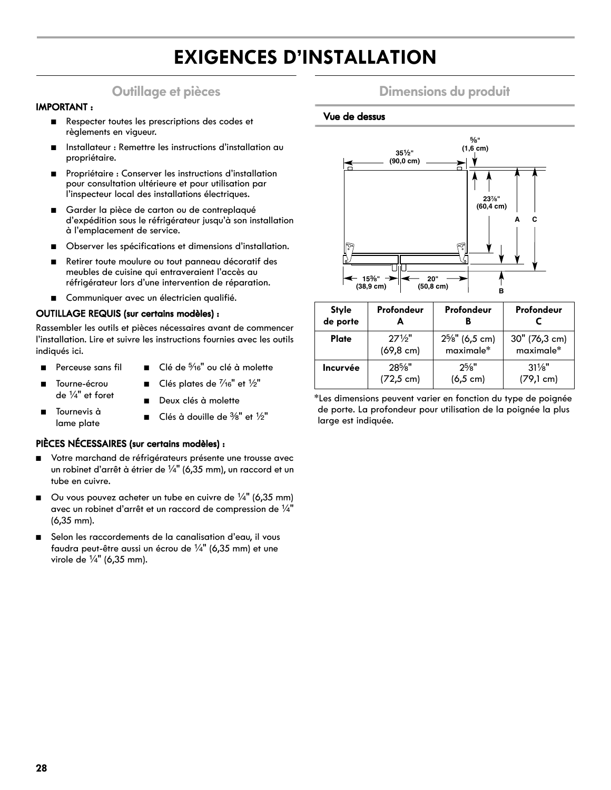## **EXIGENCES D'INSTALLATION**

## **Outillage et pièces**

#### **IMPORTANT :**

- Respecter toutes les prescriptions des codes et règlements en vigueur.
- Installateur : Remettre les instructions d'installation au propriétaire.
- Propriétaire : Conserver les instructions d'installation pour consultation ultérieure et pour utilisation par l'inspecteur local des installations électriques.
- Garder la pièce de carton ou de contreplaqué d'expédition sous le réfrigérateur jusqu'à son installation à l'emplacement de service.
- Observer les spécifications et dimensions d'installation.
- Retirer toute moulure ou tout panneau décoratif des meubles de cuisine qui entraveraient l'accès au réfrigérateur lors d'une intervention de réparation.
- Communiquer avec un électricien qualifié.

#### **OUTILLAGE REQUIS (sur certains modèles) :**

Rassembler les outils et pièces nécessaires avant de commencer l'installation. Lire et suivre les instructions fournies avec les outils indiqués ici.

- Perceuse sans fil
- Clé de 5/16" ou clé à molette

Clés plates de  $\frac{7}{16}$ " et  $\frac{1}{2}$ "

- Tourne-écrou de  $\frac{1}{4}$ " et foret
- Deux clés à molette
- Tournevis à lame plate Clés à douille de  $\frac{3}{8}$ " et  $\frac{1}{2}$ "

#### **PIÈCES NÉCESSAIRES (sur certains modèles) :**

- Votre marchand de réfrigérateurs présente une trousse avec un robinet d'arrêt à étrier de  $\frac{1}{4}$ " (6,35 mm), un raccord et un tube en cuivre.
- Ou vous pouvez acheter un tube en cuivre de  $\frac{1}{4}$ " (6,35 mm) avec un robinet d'arrêt et un raccord de compression de  $\frac{1}{4}$ " (6,35 mm).
- Selon les raccordements de la canalisation d'eau, il vous faudra peut-être aussi un écrou de  $\frac{1}{4}$ " (6,35 mm) et une virole de  $\frac{1}{4}$ " (6,35 mm).

### **Dimensions du produit**

#### **Vue de dessus**

![](_page_27_Figure_23.jpeg)

| <b>Style</b><br>de porte | Profondeur<br>А      | Profondeur           | Profondeur          |
|--------------------------|----------------------|----------------------|---------------------|
| <b>Plate</b>             | $27\frac{1}{2}$ "    | $2^{5}/s$ " (6,5 cm) | 30" (76,3 cm)       |
|                          | $(69, 8 \text{ cm})$ | maximale*            | maximale*           |
| Incurvée                 | $28\%$ "             | $2^{5}/8"$           | $31\frac{1}{8}$     |
|                          | $(72, 5 \text{ cm})$ | $(6, 5 \text{ cm})$  | $(79,1 \text{ cm})$ |

\*Les dimensions peuvent varier en fonction du type de poignée de porte. La profondeur pour utilisation de la poignée la plus large est indiquée.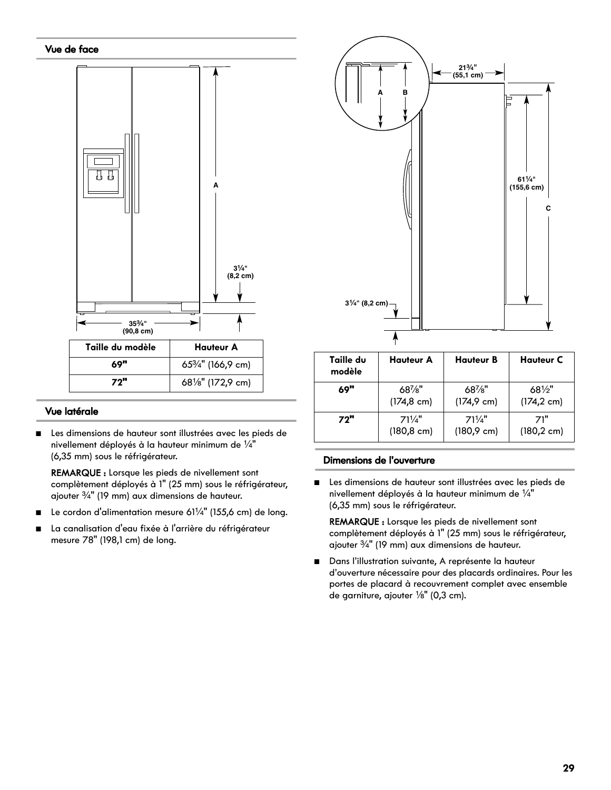![](_page_28_Figure_0.jpeg)

#### **Vue latérale**

Les dimensions de hauteur sont illustrées avec les pieds de nivellement déployés à la hauteur minimum de  $\frac{1}{4}$ " (6,35 mm) sous le réfrigérateur.

REMARQUE : Lorsque les pieds de nivellement sont complètement déployés à 1" (25 mm) sous le réfrigérateur, ajouter  $\frac{3}{4}$ " (19 mm) aux dimensions de hauteur.

- Le cordon d'alimentation mesure 61¼" (155,6 cm) de long.
- La canalisation d'eau fixée à l'arrière du réfrigérateur mesure 78" (198,1 cm) de long.

![](_page_28_Figure_6.jpeg)

| Taille du<br>modèle | <b>Hauteur A</b>      | <b>Hauteur B</b>      | <b>Hauteur C</b>      |
|---------------------|-----------------------|-----------------------|-----------------------|
| 69"                 | $68\%$ "              | $68\%$ "              | $68\frac{1}{2}$       |
|                     | $(174, 8 \text{ cm})$ | $(174, 9 \text{ cm})$ | $(174, 2 \text{ cm})$ |
| 72"                 | $71\frac{1}{4}$       | $71\frac{1}{4}$       | 71"                   |
|                     | $(180, 8 \text{ cm})$ | $(180.9 \text{ cm})$  | $(180, 2 \text{ cm})$ |

#### **Dimensions de l'ouverture**

■ Les dimensions de hauteur sont illustrées avec les pieds de nivellement déployés à la hauteur minimum de  $\frac{1}{4}$ " (6,35 mm) sous le réfrigérateur.

REMARQUE : Lorsque les pieds de nivellement sont complètement déployés à 1" (25 mm) sous le réfrigérateur, ajouter  $\frac{3}{4}$ " (19 mm) aux dimensions de hauteur.

■ Dans l'illustration suivante, A représente la hauteur d'ouverture nécessaire pour des placards ordinaires. Pour les portes de placard à recouvrement complet avec ensemble de garniture, ajouter  $\frac{1}{8}$ " (0,3 cm).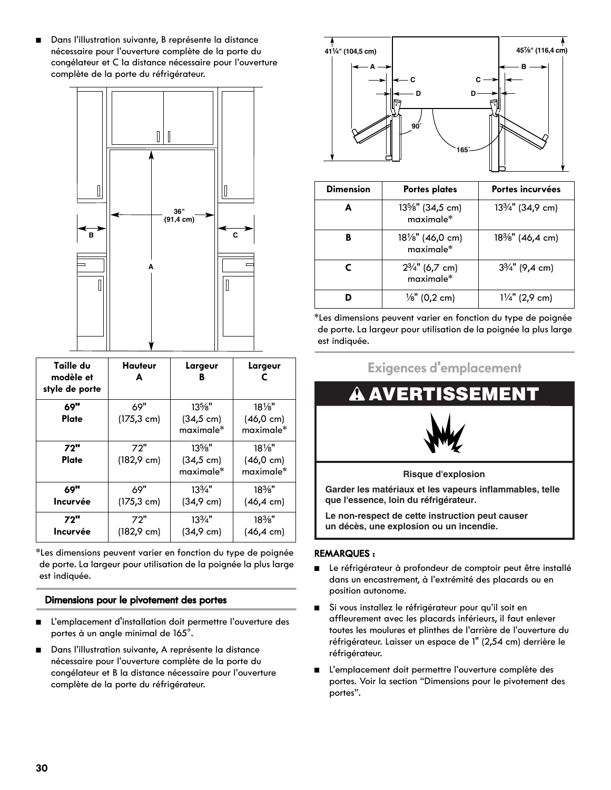■ Dans l'illustration suivante, B représente la distance nécessaire pour l'ouverture complète de la porte du congélateur et C la distance nécessaire pour l'ouverture complète de la porte du réfrigérateur.

![](_page_29_Figure_1.jpeg)

| Taille du<br>modèle et<br>style de porte | Hauteur<br>A                 | Largeur<br>B                                  | Largeur<br>г                                           |
|------------------------------------------|------------------------------|-----------------------------------------------|--------------------------------------------------------|
| 69"<br>Plate                             | 69"<br>$(175, 3 \text{ cm})$ | $13\%$ "<br>$(34, 5 \text{ cm})$<br>maximale* | $18\frac{1}{8}$<br>$(46, 0 \text{ cm})$<br>maximale*   |
| 72"<br>Plate                             | 72"<br>$(182, 9 \text{ cm})$ | $13\%$ "<br>$(34, 5 \text{ cm})$<br>maximale* | $18\frac{1}{8}$ "<br>$(46, 0 \text{ cm})$<br>maximale* |
| 69"<br>Incurvée                          | 69"<br>$(175, 3 \text{ cm})$ | $13\frac{3}{4}$ "<br>$(34, 9 \text{ cm})$     | $18\%$ "<br>$(46, 4 \text{ cm})$                       |
| 72"<br><b>Incurvée</b>                   | 72"<br>$(182, 9 \text{ cm})$ | $13\frac{3}{4}$ "<br>(34,9 cm)                | $18\%$ "<br>$(46, 4 \text{ cm})$                       |

\*Les dimensions peuvent varier en fonction du type de poignée de porte. La largeur pour utilisation de la poignée la plus large est indiquée.

#### **Dimensions pour le pivotement des portes**

- L'emplacement d'installation doit permettre l'ouverture des portes à un angle minimal de 165°.
- Dans l'illustration suivante, A représente la distance nécessaire pour l'ouverture complète de la porte du congélateur et B la distance nécessaire pour l'ouverture complète de la porte du réfrigérateur.

![](_page_29_Figure_7.jpeg)

| <b>Dimension</b> | <b>Portes plates</b>                       | Portes incurvées                           |
|------------------|--------------------------------------------|--------------------------------------------|
| A                | $13\frac{5}{8}$ " (34,5 cm)<br>$maximale*$ | 13 <sup>3</sup> / <sub>4</sub> " (34,9 cm) |
| в                | $18\frac{1}{8}$ " (46,0 cm)<br>maximale*   | 18%" (46,4 cm)                             |
|                  | $2\frac{3}{4}$ " (6,7 cm)<br>maximale*     | $3\frac{3}{4}$ " (9,4 cm)                  |
|                  | $\frac{1}{8}$ " (0,2 cm)                   | $1\frac{1}{4}$ " (2,9 cm)                  |

\*Les dimensions peuvent varier en fonction du type de poignée de porte. La largeur pour utilisation de la poignée la plus large est indiquée.

![](_page_29_Figure_10.jpeg)

**que l'essence, loin du réfrigérateur.**

**Le non-respect de cette instruction peut causer un décès, une explosion ou un incendie.** 

#### **REMARQUES :**

- Le réfrigérateur à profondeur de comptoir peut être installé dans un encastrement, à l'extrémité des placards ou en position autonome.
- Si vous installez le réfrigérateur pour qu'il soit en affleurement avec les placards inférieurs, il faut enlever toutes les moulures et plinthes de l'arrière de l'ouverture du réfrigérateur. Laisser un espace de 1" (2,54 cm) derrière le réfrigérateur.
- L'emplacement doit permettre l'ouverture complète des portes. Voir la section "Dimensions pour le pivotement des portes".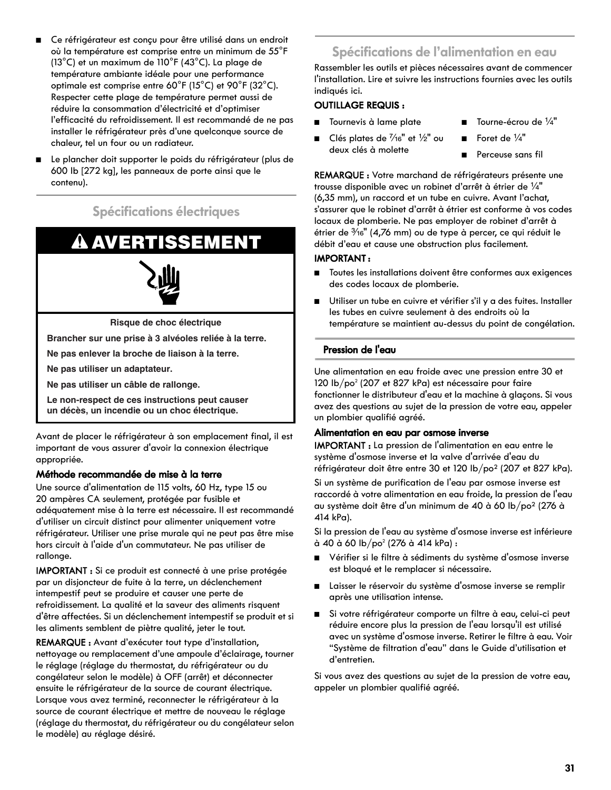- Ce réfrigérateur est conçu pour être utilisé dans un endroit où la température est comprise entre un minimum de 55°F (13°C) et un maximum de 110°F (43°C). La plage de température ambiante idéale pour une performance optimale est comprise entre 60°F (15°C) et 90°F (32°C). Respecter cette plage de température permet aussi de réduire la consommation d'électricité et d'optimiser l'efficacité du refroidissement. Il est recommandé de ne pas installer le réfrigérateur près d'une quelconque source de chaleur, tel un four ou un radiateur.
- Le plancher doit supporter le poids du réfrigérateur (plus de 600 lb [272 kg], les panneaux de porte ainsi que le contenu).

### **Spécifications électriques**

## **AVERTISSEMENT**

![](_page_30_Picture_4.jpeg)

**Risque de choc électrique**

**Brancher sur une prise à 3 alvéoles reliée à la terre.**

**Ne pas enlever la broche de liaison à la terre.**

**Ne pas utiliser un adaptateur.**

**Ne pas utiliser un câble de rallonge.**

**Le non-respect de ces instructions peut causer un décès, un incendie ou un choc électrique.**

Avant de placer le réfrigérateur à son emplacement final, il est important de vous assurer d'avoir la connexion électrique appropriée.

#### **Méthode recommandée de mise à la terre**

Une source d'alimentation de 115 volts, 60 Hz, type 15 ou 20 ampères CA seulement, protégée par fusible et adéquatement mise à la terre est nécessaire. Il est recommandé d'utiliser un circuit distinct pour alimenter uniquement votre réfrigérateur. Utiliser une prise murale qui ne peut pas être mise hors circuit à l'aide d'un commutateur. Ne pas utiliser de rallonge.

IMPORTANT : Si ce produit est connecté à une prise protégée par un disjoncteur de fuite à la terre, un déclenchement intempestif peut se produire et causer une perte de refroidissement. La qualité et la saveur des aliments risquent d'être affectées. Si un déclenchement intempestif se produit et si les aliments semblent de piètre qualité, jeter le tout.

REMARQUE : Avant d'exécuter tout type d'installation, nettoyage ou remplacement d'une ampoule d'éclairage, tourner le réglage (réglage du thermostat, du réfrigérateur ou du congélateur selon le modèle) à OFF (arrêt) et déconnecter ensuite le réfrigérateur de la source de courant électrique. Lorsque vous avez terminé, reconnecter le réfrigérateur à la source de courant électrique et mettre de nouveau le réglage (réglage du thermostat, du réfrigérateur ou du congélateur selon le modèle) au réglage désiré.

## **Spécifications de l'alimentation en eau**

Rassembler les outils et pièces nécessaires avant de commencer l'installation. Lire et suivre les instructions fournies avec les outils indiqués ici.

#### **OUTILLAGE REQUIS :**

- Tournevis à lame plate
- Clés plates de  $\frac{7}{16}$ " et  $\frac{1}{2}$ " ou deux clés à molette
- Tourne-écrou de 1/4"
- Foret de  $\frac{1}{4}$ "
- Perceuse sans fil

REMARQUE : Votre marchand de réfrigérateurs présente une trousse disponible avec un robinet d'arrêt à étrier de  $\frac{1}{4}$ " (6,35 mm), un raccord et un tube en cuivre. Avant l'achat, s'assurer que le robinet d'arrêt à étrier est conforme à vos codes locaux de plomberie. Ne pas employer de robinet d'arrêt à étrier de  $\frac{3}{16}$ " (4,76 mm) ou de type à percer, ce qui réduit le débit d'eau et cause une obstruction plus facilement.

#### **IMPORTANT :**

- Toutes les installations doivent être conformes aux exigences des codes locaux de plomberie.
- Utiliser un tube en cuivre et vérifier s'il y a des fuites. Installer les tubes en cuivre seulement à des endroits où la température se maintient au-dessus du point de congélation.

#### **Pression de l'eau**

Une alimentation en eau froide avec une pression entre 30 et 120 lb/po<sup>2</sup> (207 et 827 kPa) est nécessaire pour faire fonctionner le distributeur d'eau et la machine à glaçons. Si vous avez des questions au sujet de la pression de votre eau, appeler un plombier qualifié agréé.

#### **Alimentation en eau par osmose inverse**

IMPORTANT : La pression de l'alimentation en eau entre le système d'osmose inverse et la valve d'arrivée d'eau du réfrigérateur doit être entre 30 et 120 lb/po2 (207 et 827 kPa).

Si un système de purification de l'eau par osmose inverse est raccordé à votre alimentation en eau froide, la pression de l'eau au système doit être d'un minimum de 40 à 60 lb/po2 (276 à 414 kPa).

Si la pression de l'eau au système d'osmose inverse est inférieure à 40 à 60 lb/po² (276 à 414 kPa) :

- Vérifier si le filtre à sédiments du système d'osmose inverse est bloqué et le remplacer si nécessaire.
- Laisser le réservoir du système d'osmose inverse se remplir après une utilisation intense.
- Si votre réfrigérateur comporte un filtre à eau, celui-ci peut réduire encore plus la pression de l'eau lorsqu'il est utilisé avec un système d'osmose inverse. Retirer le filtre à eau. Voir "Système de filtration d'eau" dans le Guide d'utilisation et d'entretien.

Si vous avez des questions au sujet de la pression de votre eau, appeler un plombier qualifié agréé.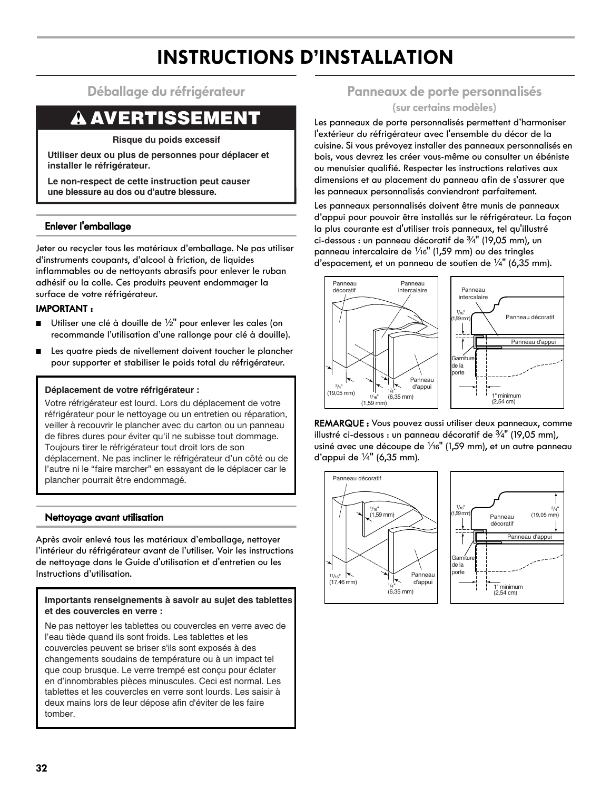## **INSTRUCTIONS D'INSTALLATION**

### **Déballage du réfrigérateur**

## **A AVERTISSEMENT**

**Risque du poids excessif**

**Utiliser deux ou plus de personnes pour déplacer et installer le réfrigérateur.**

**Le non-respect de cette instruction peut causer une blessure au dos ou d'autre blessure.**

#### **Enlever l'emballage**

Jeter ou recycler tous les matériaux d'emballage. Ne pas utiliser d'instruments coupants, d'alcool à friction, de liquides inflammables ou de nettoyants abrasifs pour enlever le ruban adhésif ou la colle. Ces produits peuvent endommager la surface de votre réfrigérateur.

#### **IMPORTANT :**

- Utiliser une clé à douille de 1/2" pour enlever les cales (on recommande l'utilisation d'une rallonge pour clé à douille).
- Les quatre pieds de nivellement doivent toucher le plancher pour supporter et stabiliser le poids total du réfrigérateur.

#### **Déplacement de votre réfrigérateur :**

Votre réfrigérateur est lourd. Lors du déplacement de votre réfrigérateur pour le nettoyage ou un entretien ou réparation, veiller à recouvrir le plancher avec du carton ou un panneau de fibres dures pour éviter qu'il ne subisse tout dommage. Toujours tirer le réfrigérateur tout droit lors de son déplacement. Ne pas incliner le réfrigérateur d'un côté ou de l'autre ni le "faire marcher" en essayant de le déplacer car le plancher pourrait être endommagé.

#### **Nettoyage avant utilisation**

Après avoir enlevé tous les matériaux d'emballage, nettoyer l'intérieur du réfrigérateur avant de l'utiliser. Voir les instructions de nettoyage dans le Guide d'utilisation et d'entretien ou les Instructions d'utilisation.

#### **Importants renseignements à savoir au sujet des tablettes et des couvercles en verre :**

Ne pas nettoyer les tablettes ou couvercles en verre avec de l'eau tiède quand ils sont froids. Les tablettes et les couvercles peuvent se briser s'ils sont exposés à des changements soudains de température ou à un impact tel que coup brusque. Le verre trempé est conçu pour éclater en d'innombrables pièces minuscules. Ceci est normal. Les tablettes et les couvercles en verre sont lourds. Les saisir à deux mains lors de leur dépose afin d'éviter de les faire tomber.

## **Panneaux de porte personnalisés**

#### **(sur certains modèles)**

Les panneaux de porte personnalisés permettent d'harmoniser l'extérieur du réfrigérateur avec l'ensemble du décor de la cuisine. Si vous prévoyez installer des panneaux personnalisés en bois, vous devrez les créer vous-même ou consulter un ébéniste ou menuisier qualifié. Respecter les instructions relatives aux dimensions et au placement du panneau afin de s'assurer que les panneaux personnalisés conviendront parfaitement.

Les panneaux personnalisés doivent être munis de panneaux d'appui pour pouvoir être installés sur le réfrigérateur. La façon la plus courante est d'utiliser trois panneaux, tel qu'illustré ci-dessous : un panneau décoratif de  $\frac{3}{4}$ " (19,05 mm), un panneau intercalaire de  $\frac{1}{16}$ " (1,59 mm) ou des tringles d'espacement, et un panneau de soutien de  $\frac{1}{4}$ " (6,35 mm).

![](_page_31_Figure_21.jpeg)

REMARQUE : Vous pouvez aussi utiliser deux panneaux, comme illustré ci-dessous : un panneau décoratif de  $\frac{3}{4}$ " (19,05 mm), usiné avec une découpe de  $\frac{1}{16}$ " (1,59 mm), et un autre panneau d'appui de  $\frac{1}{4}$ " (6,35 mm).

![](_page_31_Figure_23.jpeg)

![](_page_31_Figure_24.jpeg)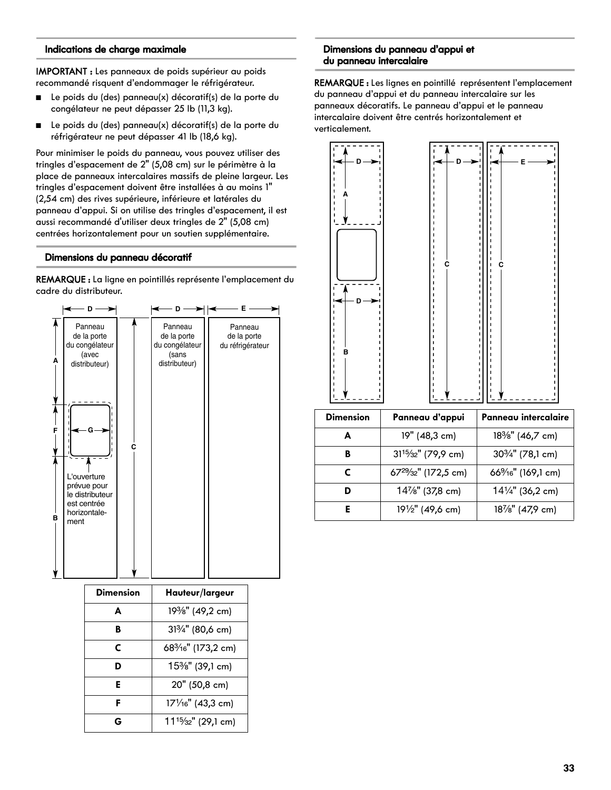#### **Indications de charge maximale**

IMPORTANT : Les panneaux de poids supérieur au poids recommandé risquent d'endommager le réfrigérateur.

- Le poids du (des) panneau(x) décoratif(s) de la porte du congélateur ne peut dépasser 25 lb (11,3 kg).
- Le poids du (des) panneau(x) décoratif(s) de la porte du réfrigérateur ne peut dépasser 41 lb (18,6 kg).

Pour minimiser le poids du panneau, vous pouvez utiliser des tringles d'espacement de 2" (5,08 cm) sur le périmètre à la place de panneaux intercalaires massifs de pleine largeur. Les tringles d'espacement doivent être installées à au moins 1" (2,54 cm) des rives supérieure, inférieure et latérales du panneau d'appui. Si on utilise des tringles d'espacement, il est aussi recommandé d'utiliser deux tringles de 2" (5,08 cm) centrées horizontalement pour un soutien supplémentaire.

#### **Dimensions du panneau décoratif**

REMARQUE : La ligne en pointillés représente l'emplacement du cadre du distributeur.

![](_page_32_Figure_7.jpeg)

| <b>Dimension</b> | Hauteur/largeur                              |  |
|------------------|----------------------------------------------|--|
| A                | 19%" (49,2 cm)                               |  |
| B                | 313/4" (80,6 cm)                             |  |
| С                | 68 <sup>3</sup> /16" (173,2 cm)              |  |
| D                | 15%" (39,1 cm)                               |  |
| Е                | 20" (50,8 cm)                                |  |
| F                | 171/16" (43,3 cm)                            |  |
| G                | 11 <sup>15</sup> / <sub>32</sub> " (29,1 cm) |  |

#### **Dimensions du panneau d'appui et du panneau intercalaire**

REMARQUE : Les lignes en pointillé représentent l'emplacement du panneau d'appui et du panneau intercalaire sur les panneaux décoratifs. Le panneau d'appui et le panneau intercalaire doivent être centrés horizontalement et verticalement.

![](_page_32_Figure_11.jpeg)

| <b>Dimension</b> | Panneau d'appui                               | Panneau intercalaire        |
|------------------|-----------------------------------------------|-----------------------------|
| А                | 19" (48,3 cm)                                 | 18%" (46,7 cm)              |
| B                | 31 <sup>15</sup> / <sub>32</sub> " (79,9 cm)  | $30\frac{3}{4}$ " (78,1 cm) |
| г                | 67 <sup>29</sup> / <sub>32</sub> " (172,5 cm) | 66%%" (169,1 cm)            |
|                  | 14%" (37,8 cm)                                | $14\frac{1}{4}$ " (36,2 cm) |
|                  | 191/2" (49,6 cm)                              | 187/8" (47,9 cm)            |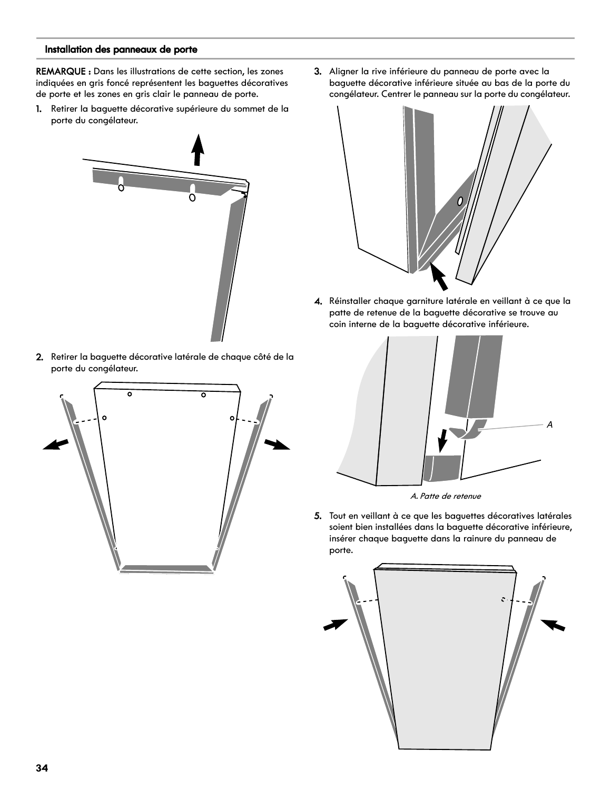#### **Installation des panneaux de porte**

REMARQUE : Dans les illustrations de cette section, les zones indiquées en gris foncé représentent les baguettes décoratives de porte et les zones en gris clair le panneau de porte.

1. Retirer la baguette décorative supérieure du sommet de la porte du congélateur.

![](_page_33_Picture_3.jpeg)

2. Retirer la baguette décorative latérale de chaque côté de la porte du congélateur.

![](_page_33_Figure_5.jpeg)

3. Aligner la rive inférieure du panneau de porte avec la baguette décorative inférieure située au bas de la porte du congélateur. Centrer le panneau sur la porte du congélateur.

![](_page_33_Picture_7.jpeg)

4. Réinstaller chaque garniture latérale en veillant à ce que la patte de retenue de la baguette décorative se trouve au coin interne de la baguette décorative inférieure.

![](_page_33_Picture_9.jpeg)

![](_page_33_Figure_10.jpeg)

5. Tout en veillant à ce que les baguettes décoratives latérales soient bien installées dans la baguette décorative inférieure, insérer chaque baguette dans la rainure du panneau de porte.

![](_page_33_Picture_12.jpeg)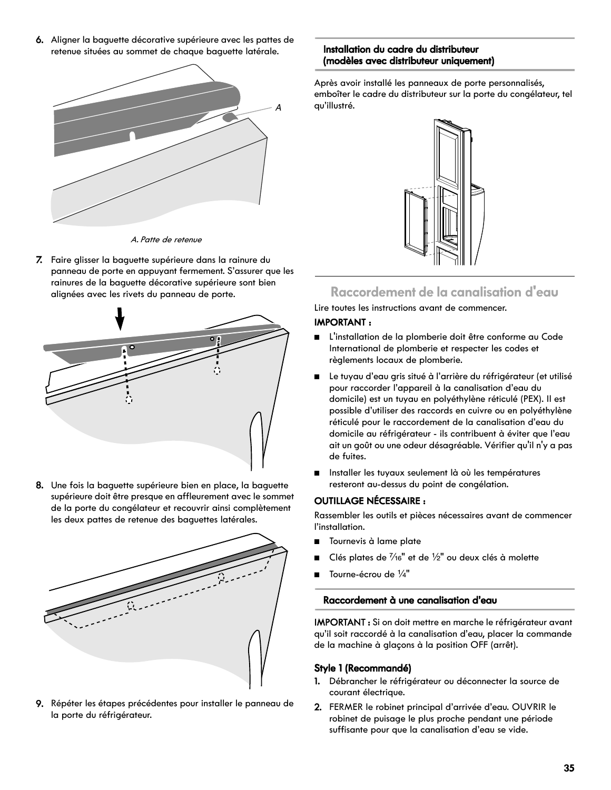6. Aligner la baguette décorative supérieure avec les pattes de retenue situées au sommet de chaque baguette latérale.

![](_page_34_Figure_1.jpeg)

A. Patte de retenue

7. Faire glisser la baguette supérieure dans la rainure du panneau de porte en appuyant fermement. S'assurer que les rainures de la baguette décorative supérieure sont bien alignées avec les rivets du panneau de porte.

![](_page_34_Figure_4.jpeg)

8. Une fois la baguette supérieure bien en place, la baguette supérieure doit être presque en affleurement avec le sommet de la porte du congélateur et recouvrir ainsi complètement les deux pattes de retenue des baguettes latérales.

![](_page_34_Picture_6.jpeg)

9. Répéter les étapes précédentes pour installer le panneau de la porte du réfrigérateur.

#### **Installation du cadre du distributeur (modèles avec distributeur uniquement)**

Après avoir installé les panneaux de porte personnalisés, emboîter le cadre du distributeur sur la porte du congélateur, tel qu'illustré.

![](_page_34_Picture_10.jpeg)

## **Raccordement de la canalisation d'eau**

Lire toutes les instructions avant de commencer.

#### **IMPORTANT :**

- L'installation de la plomberie doit être conforme au Code International de plomberie et respecter les codes et règlements locaux de plomberie.
- Le tuyau d'eau gris situé à l'arrière du réfrigérateur (et utilisé pour raccorder l'appareil à la canalisation d'eau du domicile) est un tuyau en polyéthylène réticulé (PEX). Il est possible d'utiliser des raccords en cuivre ou en polyéthylène réticulé pour le raccordement de la canalisation d'eau du domicile au réfrigérateur - ils contribuent à éviter que l'eau ait un goût ou une odeur désagréable. Vérifier qu'il n'y a pas de fuites.
- Installer les tuyaux seulement là où les températures resteront au-dessus du point de congélation.

#### **OUTILLAGE NÉCESSAIRE :**

Rassembler les outils et pièces nécessaires avant de commencer l'installation.

- Tournevis à lame plate
- Clés plates de  $\frac{7}{16}$ " et de  $\frac{1}{2}$ " ou deux clés à molette
- Tourne-écrou de 1/4"

#### **Raccordement à une canalisation d'eau**

IMPORTANT : Si on doit mettre en marche le réfrigérateur avant qu'il soit raccordé à la canalisation d'eau, placer la commande de la machine à glaçons à la position OFF (arrêt).

#### **Style 1 (Recommandé)**

- 1. Débrancher le réfrigérateur ou déconnecter la source de courant électrique.
- 2. FERMER le robinet principal d'arrivée d'eau. OUVRIR le robinet de puisage le plus proche pendant une période suffisante pour que la canalisation d'eau se vide.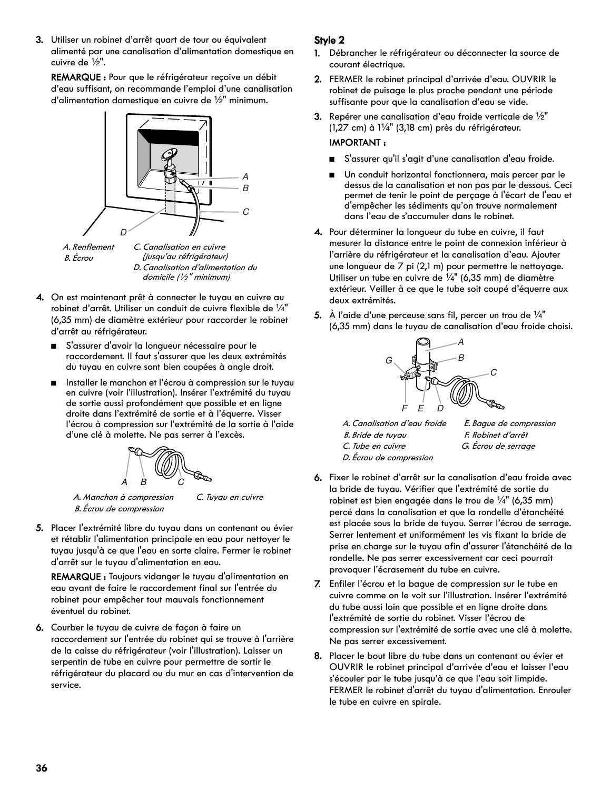3. Utiliser un robinet d'arrêt quart de tour ou équivalent alimenté par une canalisation d'alimentation domestique en cuivre de  $\frac{1}{2}$ ".

REMARQUE : Pour que le réfrigérateur reçoive un débit d'eau suffisant, on recommande l'emploi d'une canalisation d'alimentation domestique en cuivre de  $\frac{1}{2}$ " minimum.

![](_page_35_Figure_2.jpeg)

B. Écrou

(jusqu'au réfrigérateur) D. Canalisation d'alimentation du domicile (½" minimum)

- 4. On est maintenant prêt à connecter le tuyau en cuivre au robinet d'arrêt. Utiliser un conduit de cuivre flexible de  $\frac{1}{4}$ " (6,35 mm) de diamètre extérieur pour raccorder le robinet d'arrêt au réfrigérateur.
	- S'assurer d'avoir la longueur nécessaire pour le raccordement. Il faut s'assurer que les deux extrémités du tuyau en cuivre sont bien coupées à angle droit.
	- Installer le manchon et l'écrou à compression sur le tuyau en cuivre (voir l'illustration). Insérer l'extrémité du tuyau de sortie aussi profondément que possible et en ligne droite dans l'extrémité de sortie et à l'équerre. Visser l'écrou à compression sur l'extrémité de la sortie à l'aide d'une clé à molette. Ne pas serrer à l'excès.

![](_page_35_Figure_8.jpeg)

A. Manchon à compression B. Écrou de compression

C. Tuyau en cuivre

5. Placer l'extrémité libre du tuyau dans un contenant ou évier et rétablir l'alimentation principale en eau pour nettoyer le tuyau jusqu'à ce que l'eau en sorte claire. Fermer le robinet d'arrêt sur le tuyau d'alimentation en eau.

REMARQUE : Toujours vidanger le tuyau d'alimentation en eau avant de faire le raccordement final sur l'entrée du robinet pour empêcher tout mauvais fonctionnement éventuel du robinet.

6. Courber le tuyau de cuivre de façon à faire un raccordement sur l'entrée du robinet qui se trouve à l'arrière de la caisse du réfrigérateur (voir l'illustration). Laisser un serpentin de tube en cuivre pour permettre de sortir le réfrigérateur du placard ou du mur en cas d'intervention de service.

#### **Style 2**

- 1. Débrancher le réfrigérateur ou déconnecter la source de courant électrique.
- 2. FERMER le robinet principal d'arrivée d'eau. OUVRIR le robinet de puisage le plus proche pendant une période suffisante pour que la canalisation d'eau se vide.
- **3.** Repérer une canalisation d'eau froide verticale de  $\frac{1}{2}$ "  $(1,27 \text{ cm})$  à  $1\frac{1}{4}$ " (3,18 cm) près du réfrigérateur.

### IMPORTANT :

- S'assurer qu'il s'agit d'une canalisation d'eau froide.
- Un conduit horizontal fonctionnera, mais percer par le dessus de la canalisation et non pas par le dessous. Ceci permet de tenir le point de perçage à l'écart de l'eau et d'empêcher les sédiments qu'on trouve normalement dans l'eau de s'accumuler dans le robinet.
- 4. Pour déterminer la longueur du tube en cuivre, il faut mesurer la distance entre le point de connexion inférieur à l'arrière du réfrigérateur et la canalisation d'eau. Ajouter une longueur de 7 pi (2,1 m) pour permettre le nettoyage. Utiliser un tube en cuivre de  $\frac{1}{4}$ " (6,35 mm) de diamètre extérieur. Veiller à ce que le tube soit coupé d'équerre aux deux extrémités.
- **5.** À l'aide d'une perceuse sans fil, percer un trou de  $\frac{1}{4}$ " (6,35 mm) dans le tuyau de canalisation d'eau froide choisi.

![](_page_35_Picture_23.jpeg)

A. Canalisation d'eau froide B. Bride de tuyau C. Tube en cuivre

- E. Bague de compression F. Robinet d'arrêt G. Écrou de serrage
- D. Écrou de compression
- 6. Fixer le robinet d'arrêt sur la canalisation d'eau froide avec la bride de tuyau. Vérifier que l'extrémité de sortie du robinet est bien engagée dans le trou de  $\frac{1}{4}$ " (6,35 mm) percé dans la canalisation et que la rondelle d'étanchéité est placée sous la bride de tuyau. Serrer l'écrou de serrage. Serrer lentement et uniformément les vis fixant la bride de prise en charge sur le tuyau afin d'assurer l'étanchéité de la rondelle. Ne pas serrer excessivement car ceci pourrait provoquer l'écrasement du tube en cuivre.
- 7. Enfiler l'écrou et la bague de compression sur le tube en cuivre comme on le voit sur l'illustration. Insérer l'extrémité du tube aussi loin que possible et en ligne droite dans l'extrémité de sortie du robinet. Visser l'écrou de compression sur l'extrémité de sortie avec une clé à molette. Ne pas serrer excessivement.
- 8. Placer le bout libre du tube dans un contenant ou évier et OUVRIR le robinet principal d'arrivée d'eau et laisser l'eau s'écouler par le tube jusqu'à ce que l'eau soit limpide. FERMER le robinet d'arrêt du tuyau d'alimentation. Enrouler le tube en cuivre en spirale.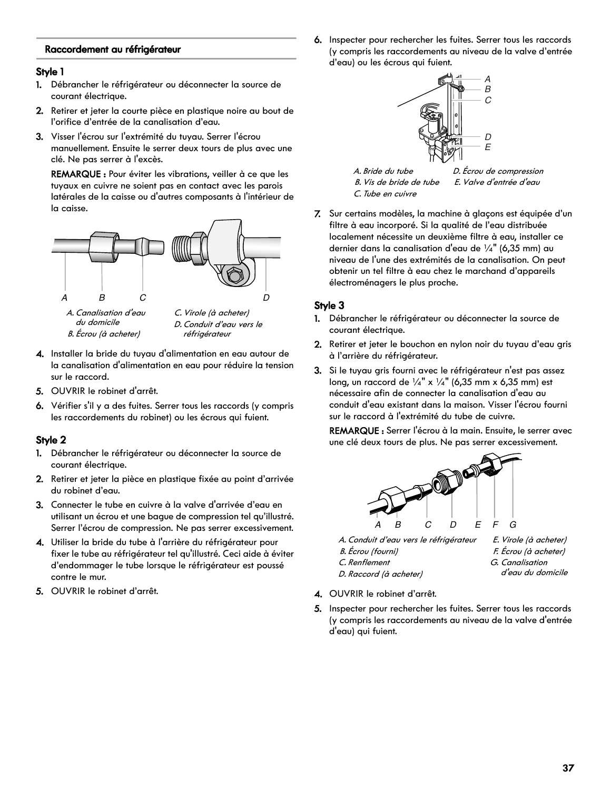#### **Raccordement au réfrigérateur**

#### **Style 1**

- 1. Débrancher le réfrigérateur ou déconnecter la source de courant électrique.
- 2. Retirer et jeter la courte pièce en plastique noire au bout de l'orifice d'entrée de la canalisation d'eau.
- 3. Visser l'écrou sur l'extrémité du tuyau. Serrer l'écrou manuellement. Ensuite le serrer deux tours de plus avec une clé. Ne pas serrer à l'excès.

REMARQUE : Pour éviter les vibrations, veiller à ce que les tuyaux en cuivre ne soient pas en contact avec les parois latérales de la caisse ou d'autres composants à l'intérieur de la caisse.

![](_page_36_Figure_6.jpeg)

du domicile B. Écrou (à acheter) D. Conduit d'eau vers le réfrigérateur

- 4. Installer la bride du tuyau d'alimentation en eau autour de la canalisation d'alimentation en eau pour réduire la tension sur le raccord.
- 5. OUVRIR le robinet d'arrêt.
- 6. Vérifier s'il y a des fuites. Serrer tous les raccords (y compris les raccordements du robinet) ou les écrous qui fuient.

#### **Style 2**

- 1. Débrancher le réfrigérateur ou déconnecter la source de courant électrique.
- 2. Retirer et jeter la pièce en plastique fixée au point d'arrivée du robinet d'eau.
- 3. Connecter le tube en cuivre à la valve d'arrivée d'eau en utilisant un écrou et une bague de compression tel qu'illustré. Serrer l'écrou de compression. Ne pas serrer excessivement.
- 4. Utiliser la bride du tube à l'arrière du réfrigérateur pour fixer le tube au réfrigérateur tel qu'illustré. Ceci aide à éviter d'endommager le tube lorsque le réfrigérateur est poussé contre le mur.
- 5. OUVRIR le robinet d'arrêt.

6. Inspecter pour rechercher les fuites. Serrer tous les raccords (y compris les raccordements au niveau de la valve d'entrée d'eau) ou les écrous qui fuient.

![](_page_36_Figure_19.jpeg)

7. Sur certains modèles, la machine à glaçons est équipée d'un filtre à eau incorporé. Si la qualité de l'eau distribuée localement nécessite un deuxième filtre à eau, installer ce dernier dans la canalisation d'eau de  $\frac{1}{4}$ " (6,35 mm) au niveau de l'une des extrémités de la canalisation. On peut obtenir un tel filtre à eau chez le marchand d'appareils électroménagers le plus proche.

#### **Style 3**

- 1. Débrancher le réfrigérateur ou déconnecter la source de courant électrique.
- 2. Retirer et jeter le bouchon en nylon noir du tuyau d'eau gris à l'arrière du réfrigérateur.
- 3. Si le tuyau gris fourni avec le réfrigérateur n'est pas assez long, un raccord de  $\frac{1}{4}$ " x  $\frac{1}{4}$ " (6,35 mm x 6,35 mm) est nécessaire afin de connecter la canalisation d'eau au conduit d'eau existant dans la maison. Visser l'écrou fourni sur le raccord à l'extrémité du tube de cuivre.

REMARQUE : Serrer l'écrou à la main. Ensuite, le serrer avec une clé deux tours de plus. Ne pas serrer excessivement.

![](_page_36_Figure_26.jpeg)

A. Conduit d'eau vers le réfrigérateur

- B. Écrou (fourni)
- C. Renflement
- D. Raccord (à acheter)
- F. Écrou (à acheter) G. Canalisation d'eau du domicile

E. Virole (à acheter)

- 4. OUVRIR le robinet d'arrêt.
- 5. Inspecter pour rechercher les fuites. Serrer tous les raccords (y compris les raccordements au niveau de la valve d'entrée d'eau) qui fuient.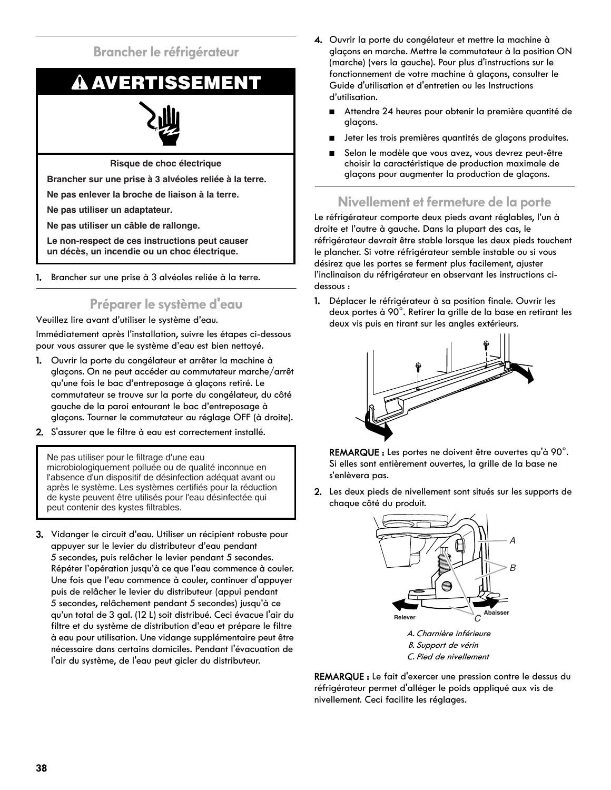### **Brancher le réfrigérateur**

## **AVERTISSEMENT**

**Risque de choc électrique**

**Brancher sur une prise à 3 alvéoles reliée à la terre.**

**Ne pas enlever la broche de liaison à la terre.**

**Ne pas utiliser un adaptateur.**

**Ne pas utiliser un câble de rallonge.**

**Le non-respect de ces instructions peut causer un décès, un incendie ou un choc électrique.**

1. Brancher sur une prise à 3 alvéoles reliée à la terre.

## **Préparer le système d'eau**

Veuillez lire avant d'utiliser le système d'eau.

Immédiatement après l'installation, suivre les étapes ci-dessous pour vous assurer que le système d'eau est bien nettoyé.

- 1. Ouvrir la porte du congélateur et arrêter la machine à glaçons. On ne peut accéder au commutateur marche/arrêt qu'une fois le bac d'entreposage à glaçons retiré. Le commutateur se trouve sur la porte du congélateur, du côté gauche de la paroi entourant le bac d'entreposage à glaçons. Tourner le commutateur au réglage OFF (à droite).
- 2. S'assurer que le filtre à eau est correctement installé.

Ne pas utiliser pour le filtrage d'une eau microbiologiquement polluée ou de qualité inconnue en l'absence d'un dispositif de désinfection adéquat avant ou après le système. Les systèmes certifiés pour la réduction de kyste peuvent être utilisés pour l'eau désinfectée qui peut contenir des kystes filtrables.

3. Vidanger le circuit d'eau. Utiliser un récipient robuste pour appuyer sur le levier du distributeur d'eau pendant 5 secondes, puis relâcher le levier pendant 5 secondes. Répéter l'opération jusqu'à ce que l'eau commence à couler. Une fois que l'eau commence à couler, continuer d'appuyer puis de relâcher le levier du distributeur (appui pendant 5 secondes, relâchement pendant 5 secondes) jusqu'à ce qu'un total de 3 gal. (12 L) soit distribué. Ceci évacue l'air du filtre et du système de distribution d'eau et prépare le filtre à eau pour utilisation. Une vidange supplémentaire peut être nécessaire dans certains domiciles. Pendant l'évacuation de l'air du système, de l'eau peut gicler du distributeur.

- 4. Ouvrir la porte du congélateur et mettre la machine à glaçons en marche. Mettre le commutateur à la position ON (marche) (vers la gauche). Pour plus d'instructions sur le fonctionnement de votre machine à glaçons, consulter le Guide d'utilisation et d'entretien ou les Instructions d'utilisation.
	- Attendre 24 heures pour obtenir la première quantité de glaçons.
	- Jeter les trois premières quantités de glaçons produites.
	- Selon le modèle que vous avez, vous devrez peut-être choisir la caractéristique de production maximale de glaçons pour augmenter la production de glaçons.

## **Nivellement et fermeture de la porte**

Le réfrigérateur comporte deux pieds avant réglables, l'un à droite et l'autre à gauche. Dans la plupart des cas, le réfrigérateur devrait être stable lorsque les deux pieds touchent le plancher. Si votre réfrigérateur semble instable ou si vous désirez que les portes se ferment plus facilement, ajuster l'inclinaison du réfrigérateur en observant les instructions cidessous :

1. Déplacer le réfrigérateur à sa position finale. Ouvrir les deux portes à 90°. Retirer la grille de la base en retirant les deux vis puis en tirant sur les angles extérieurs.

![](_page_37_Figure_24.jpeg)

REMARQUE : Les portes ne doivent être ouvertes qu'à 90°. Si elles sont entièrement ouvertes, la grille de la base ne s'enlèvera pas.

2. Les deux pieds de nivellement sont situés sur les supports de chaque côté du produit.

![](_page_37_Figure_27.jpeg)

B. Support de vérin C. Pied de nivellement

REMARQUE : Le fait d'exercer une pression contre le dessus du réfrigérateur permet d'alléger le poids appliqué aux vis de

nivellement. Ceci facilite les réglages.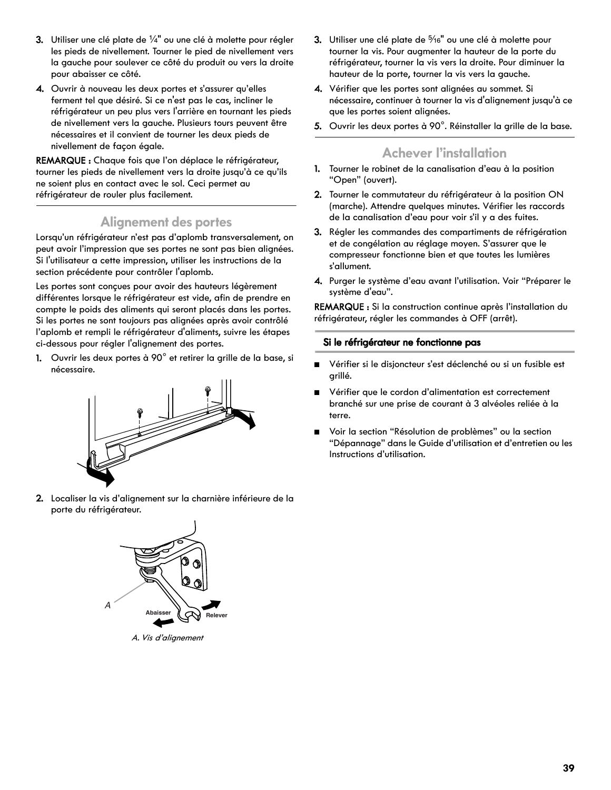- 3. Utiliser une clé plate de  $\frac{1}{4}$ " ou une clé à molette pour régler les pieds de nivellement. Tourner le pied de nivellement vers la gauche pour soulever ce côté du produit ou vers la droite pour abaisser ce côté.
- 4. Ouvrir à nouveau les deux portes et s'assurer qu'elles ferment tel que désiré. Si ce n'est pas le cas, incliner le réfrigérateur un peu plus vers l'arrière en tournant les pieds de nivellement vers la gauche. Plusieurs tours peuvent être nécessaires et il convient de tourner les deux pieds de nivellement de façon égale.

REMARQUE : Chaque fois que l'on déplace le réfrigérateur, tourner les pieds de nivellement vers la droite jusqu'à ce qu'ils ne soient plus en contact avec le sol. Ceci permet au réfrigérateur de rouler plus facilement.

### **Alignement des portes**

Lorsqu'un réfrigérateur n'est pas d'aplomb transversalement, on peut avoir l'impression que ses portes ne sont pas bien alignées. Si l'utilisateur a cette impression, utiliser les instructions de la section précédente pour contrôler l'aplomb.

Les portes sont conçues pour avoir des hauteurs légèrement différentes lorsque le réfrigérateur est vide, afin de prendre en compte le poids des aliments qui seront placés dans les portes. Si les portes ne sont toujours pas alignées après avoir contrôlé l'aplomb et rempli le réfrigérateur d'aliments, suivre les étapes ci-dessous pour régler l'alignement des portes.

1. Ouvrir les deux portes à 90° et retirer la grille de la base, si nécessaire.

![](_page_38_Figure_7.jpeg)

2. Localiser la vis d'alignement sur la charnière inférieure de la porte du réfrigérateur.

![](_page_38_Figure_9.jpeg)

A. Vis d'alignement

- 3. Utiliser une clé plate de 5/16" ou une clé à molette pour tourner la vis. Pour augmenter la hauteur de la porte du réfrigérateur, tourner la vis vers la droite. Pour diminuer la hauteur de la porte, tourner la vis vers la gauche.
- 4. Vérifier que les portes sont alignées au sommet. Si nécessaire, continuer à tourner la vis d'alignement jusqu'à ce que les portes soient alignées.
- 5. Ouvrir les deux portes à 90°. Réinstaller la grille de la base.

### **Achever l'installation**

- 1. Tourner le robinet de la canalisation d'eau à la position "Open" (ouvert).
- 2. Tourner le commutateur du réfrigérateur à la position ON (marche). Attendre quelques minutes. Vérifier les raccords de la canalisation d'eau pour voir s'il y a des fuites.
- 3. Régler les commandes des compartiments de réfrigération et de congélation au réglage moyen. S'assurer que le compresseur fonctionne bien et que toutes les lumières s'allument.
- 4. Purger le système d'eau avant l'utilisation. Voir "Préparer le système d'eau".

REMARQUE : Si la construction continue après l'installation du réfrigérateur, régler les commandes à OFF (arrêt).

#### **Si le réfrigérateur ne fonctionne pas**

- Vérifier si le disjoncteur s'est déclenché ou si un fusible est grillé.
- Vérifier que le cordon d'alimentation est correctement branché sur une prise de courant à 3 alvéoles reliée à la terre.
- Voir la section "Résolution de problèmes" ou la section "Dépannage" dans le Guide d'utilisation et d'entretien ou les Instructions d'utilisation.